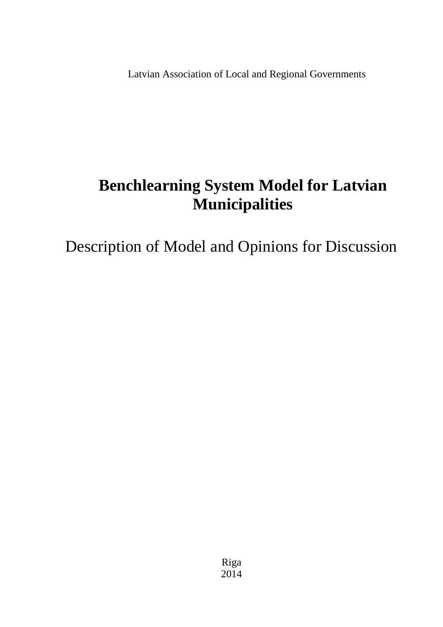Latvian Association of Local and Regional Governments

# **Benchlearning System Model for Latvian Municipalities**

Description of Model and Opinions for Discussion

Riga 2014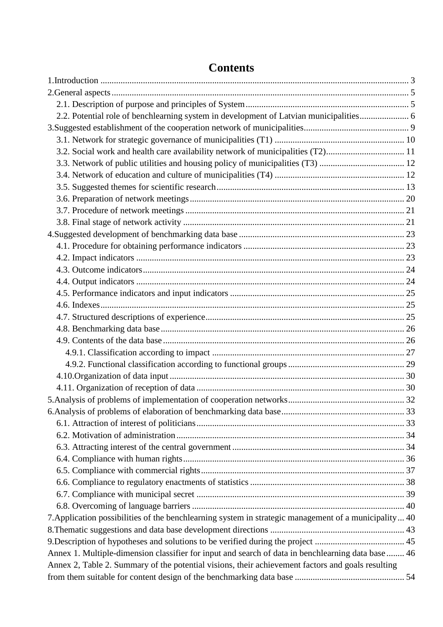| 2.2. Potential role of benchlearning system in development of Latvian municipalities 6                |  |
|-------------------------------------------------------------------------------------------------------|--|
|                                                                                                       |  |
|                                                                                                       |  |
| 3.2. Social work and health care availability network of municipalities (T2) 11                       |  |
| 3.3. Network of public utilities and housing policy of municipalities (T3)  12                        |  |
|                                                                                                       |  |
|                                                                                                       |  |
|                                                                                                       |  |
|                                                                                                       |  |
|                                                                                                       |  |
|                                                                                                       |  |
|                                                                                                       |  |
|                                                                                                       |  |
|                                                                                                       |  |
|                                                                                                       |  |
|                                                                                                       |  |
|                                                                                                       |  |
|                                                                                                       |  |
|                                                                                                       |  |
|                                                                                                       |  |
|                                                                                                       |  |
|                                                                                                       |  |
|                                                                                                       |  |
|                                                                                                       |  |
|                                                                                                       |  |
|                                                                                                       |  |
|                                                                                                       |  |
|                                                                                                       |  |
|                                                                                                       |  |
|                                                                                                       |  |
|                                                                                                       |  |
|                                                                                                       |  |
|                                                                                                       |  |
|                                                                                                       |  |
| 7. Application possibilities of the benchlearning system in strategic management of a municipality 40 |  |
|                                                                                                       |  |
|                                                                                                       |  |
| Annex 1. Multiple-dimension classifier for input and search of data in benchlearning data base  46    |  |
| Annex 2, Table 2. Summary of the potential visions, their achievement factors and goals resulting     |  |
|                                                                                                       |  |

# **Contents**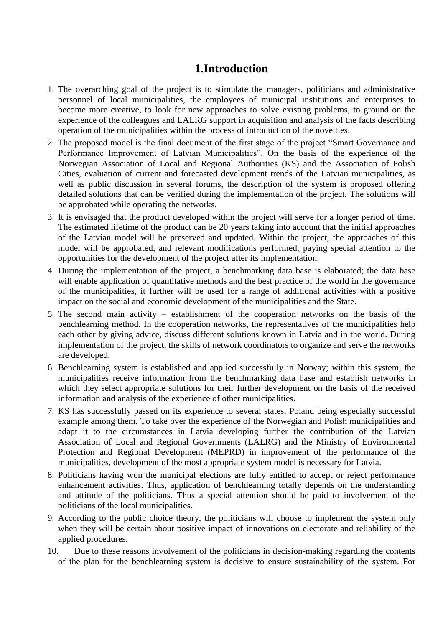# **1.Introduction**

- <span id="page-2-0"></span>1. The overarching goal of the project is to stimulate the managers, politicians and administrative personnel of local municipalities, the employees of municipal institutions and enterprises to become more creative, to look for new approaches to solve existing problems, to ground on the experience of the colleagues and LALRG support in acquisition and analysis of the facts describing operation of the municipalities within the process of introduction of the novelties.
- 2. The proposed model is the final document of the first stage of the project "Smart Governance and Performance Improvement of Latvian Municipalities". On the basis of the experience of the Norwegian Association of Local and Regional Authorities (KS) and the Association of Polish Cities, evaluation of current and forecasted development trends of the Latvian municipalities, as well as public discussion in several forums, the description of the system is proposed offering detailed solutions that can be verified during the implementation of the project. The solutions will be approbated while operating the networks.
- 3. It is envisaged that the product developed within the project will serve for a longer period of time. The estimated lifetime of the product can be 20 years taking into account that the initial approaches of the Latvian model will be preserved and updated. Within the project, the approaches of this model will be approbated, and relevant modifications performed, paying special attention to the opportunities for the development of the project after its implementation.
- 4. During the implementation of the project, a benchmarking data base is elaborated; the data base will enable application of quantitative methods and the best practice of the world in the governance of the municipalities, it further will be used for a range of additional activities with a positive impact on the social and economic development of the municipalities and the State.
- 5. The second main activity establishment of the cooperation networks on the basis of the benchlearning method. In the cooperation networks, the representatives of the municipalities help each other by giving advice, discuss different solutions known in Latvia and in the world. During implementation of the project, the skills of network coordinators to organize and serve the networks are developed.
- 6. Benchlearning system is established and applied successfully in Norway; within this system, the municipalities receive information from the benchmarking data base and establish networks in which they select appropriate solutions for their further development on the basis of the received information and analysis of the experience of other municipalities.
- 7. KS has successfully passed on its experience to several states, Poland being especially successful example among them. To take over the experience of the Norwegian and Polish municipalities and adapt it to the circumstances in Latvia developing further the contribution of the Latvian Association of Local and Regional Governments (LALRG) and the Ministry of Environmental Protection and Regional Development (MEPRD) in improvement of the performance of the municipalities, development of the most appropriate system model is necessary for Latvia.
- 8. Politicians having won the municipal elections are fully entitled to accept or reject performance enhancement activities. Thus, application of benchlearning totally depends on the understanding and attitude of the politicians. Thus a special attention should be paid to involvement of the politicians of the local municipalities.
- 9. According to the public choice theory, the politicians will choose to implement the system only when they will be certain about positive impact of innovations on electorate and reliability of the applied procedures.
- 10. Due to these reasons involvement of the politicians in decision-making regarding the contents of the plan for the benchlearning system is decisive to ensure sustainability of the system. For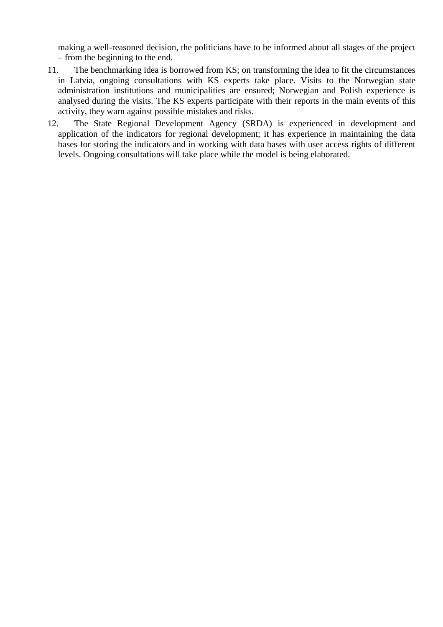making a well-reasoned decision, the politicians have to be informed about all stages of the project – from the beginning to the end.

- 11. The benchmarking idea is borrowed from KS; on transforming the idea to fit the circumstances in Latvia, ongoing consultations with KS experts take place. Visits to the Norwegian state administration institutions and municipalities are ensured; Norwegian and Polish experience is analysed during the visits. The KS experts participate with their reports in the main events of this activity, they warn against possible mistakes and risks.
- <span id="page-3-0"></span>12. The State Regional Development Agency (SRDA) is experienced in development and application of the indicators for regional development; it has experience in maintaining the data bases for storing the indicators and in working with data bases with user access rights of different levels. Ongoing consultations will take place while the model is being elaborated.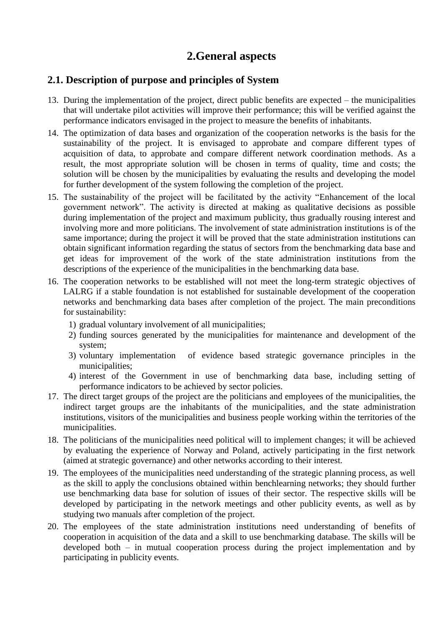# **2.General aspects**

#### <span id="page-4-0"></span>**2.1. Description of purpose and principles of System**

- 13. During the implementation of the project, direct public benefits are expected the municipalities that will undertake pilot activities will improve their performance; this will be verified against the performance indicators envisaged in the project to measure the benefits of inhabitants.
- 14. The optimization of data bases and organization of the cooperation networks is the basis for the sustainability of the project. It is envisaged to approbate and compare different types of acquisition of data, to approbate and compare different network coordination methods. As a result, the most appropriate solution will be chosen in terms of quality, time and costs; the solution will be chosen by the municipalities by evaluating the results and developing the model for further development of the system following the completion of the project.
- 15. The sustainability of the project will be facilitated by the activity "Enhancement of the local government network". The activity is directed at making as qualitative decisions as possible during implementation of the project and maximum publicity, thus gradually rousing interest and involving more and more politicians. The involvement of state administration institutions is of the same importance; during the project it will be proved that the state administration institutions can obtain significant information regarding the status of sectors from the benchmarking data base and get ideas for improvement of the work of the state administration institutions from the descriptions of the experience of the municipalities in the benchmarking data base.
- 16. The cooperation networks to be established will not meet the long-term strategic objectives of LALRG if a stable foundation is not established for sustainable development of the cooperation networks and benchmarking data bases after completion of the project. The main preconditions for sustainability:
	- 1) gradual voluntary involvement of all municipalities;
	- 2) funding sources generated by the municipalities for maintenance and development of the system;
	- 3) voluntary implementation of evidence based strategic governance principles in the municipalities;
	- 4) interest of the Government in use of benchmarking data base, including setting of performance indicators to be achieved by sector policies.
- 17. The direct target groups of the project are the politicians and employees of the municipalities, the indirect target groups are the inhabitants of the municipalities, and the state administration institutions, visitors of the municipalities and business people working within the territories of the municipalities.
- 18. The politicians of the municipalities need political will to implement changes; it will be achieved by evaluating the experience of Norway and Poland, actively participating in the first network (aimed at strategic governance) and other networks according to their interest.
- 19. The employees of the municipalities need understanding of the strategic planning process, as well as the skill to apply the conclusions obtained within benchlearning networks; they should further use benchmarking data base for solution of issues of their sector. The respective skills will be developed by participating in the network meetings and other publicity events, as well as by studying two manuals after completion of the project.
- 20. The employees of the state administration institutions need understanding of benefits of cooperation in acquisition of the data and a skill to use benchmarking database. The skills will be developed both – in mutual cooperation process during the project implementation and by participating in publicity events.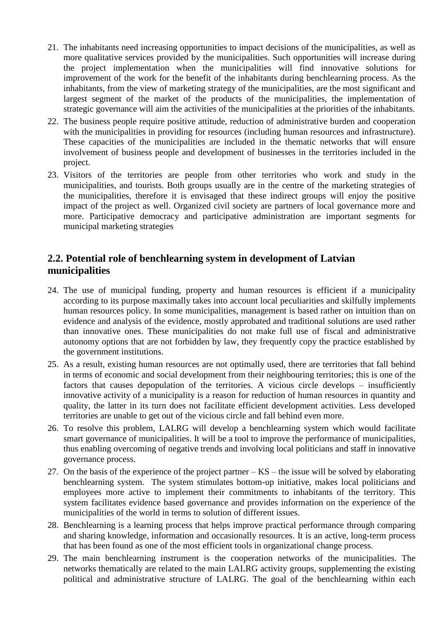- 21. The inhabitants need increasing opportunities to impact decisions of the municipalities, as well as more qualitative services provided by the municipalities. Such opportunities will increase during the project implementation when the municipalities will find innovative solutions for improvement of the work for the benefit of the inhabitants during benchlearning process. As the inhabitants, from the view of marketing strategy of the municipalities, are the most significant and largest segment of the market of the products of the municipalities, the implementation of strategic governance will aim the activities of the municipalities at the priorities of the inhabitants.
- 22. The business people require positive attitude, reduction of administrative burden and cooperation with the municipalities in providing for resources (including human resources and infrastructure). These capacities of the municipalities are included in the thematic networks that will ensure involvement of business people and development of businesses in the territories included in the project.
- 23. Visitors of the territories are people from other territories who work and study in the municipalities, and tourists. Both groups usually are in the centre of the marketing strategies of the municipalities, therefore it is envisaged that these indirect groups will enjoy the positive impact of the project as well. Organized civil society are partners of local governance more and more. Participative democracy and participative administration are important segments for municipal marketing strategies

#### <span id="page-5-0"></span>**2.2. Potential role of benchlearning system in development of Latvian municipalities**

- 24. The use of municipal funding, property and human resources is efficient if a municipality according to its purpose maximally takes into account local peculiarities and skilfully implements human resources policy. In some municipalities, management is based rather on intuition than on evidence and analysis of the evidence, mostly approbated and traditional solutions are used rather than innovative ones. These municipalities do not make full use of fiscal and administrative autonomy options that are not forbidden by law, they frequently copy the practice established by the government institutions.
- 25. As a result, existing human resources are not optimally used, there are territories that fall behind in terms of economic and social development from their neighbouring territories; this is one of the factors that causes depopulation of the territories. A vicious circle develops – insufficiently innovative activity of a municipality is a reason for reduction of human resources in quantity and quality, the latter in its turn does not facilitate efficient development activities. Less developed territories are unable to get out of the vicious circle and fall behind even more.
- 26. To resolve this problem, LALRG will develop a benchlearning system which would facilitate smart governance of municipalities. It will be a tool to improve the performance of municipalities, thus enabling overcoming of negative trends and involving local politicians and staff in innovative governance process.
- 27. On the basis of the experience of the project partner KS the issue will be solved by elaborating benchlearning system. The system stimulates bottom-up initiative, makes local politicians and employees more active to implement their commitments to inhabitants of the territory. This system facilitates evidence based governance and provides information on the experience of the municipalities of the world in terms to solution of different issues.
- 28. Benchlearning is a learning process that helps improve practical performance through comparing and sharing knowledge, information and occasionally resources. It is an active, long-term process that has been found as one of the most efficient tools in organizational change process.
- 29. The main benchlearning instrument is the cooperation networks of the municipalities. The networks thematically are related to the main LALRG activity groups, supplementing the existing political and administrative structure of LALRG. The goal of the benchlearning within each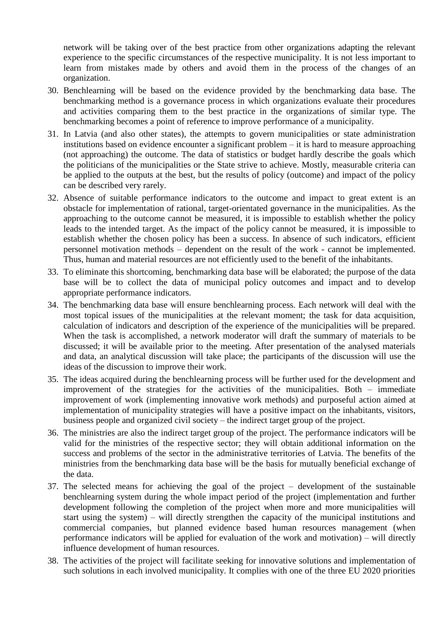network will be taking over of the best practice from other organizations adapting the relevant experience to the specific circumstances of the respective municipality. It is not less important to learn from mistakes made by others and avoid them in the process of the changes of an organization.

- 30. Benchlearning will be based on the evidence provided by the benchmarking data base. The benchmarking method is a governance process in which organizations evaluate their procedures and activities comparing them to the best practice in the organizations of similar type. The benchmarking becomes a point of reference to improve performance of a municipality.
- 31. In Latvia (and also other states), the attempts to govern municipalities or state administration institutions based on evidence encounter a significant problem – it is hard to measure approaching (not approaching) the outcome. The data of statistics or budget hardly describe the goals which the politicians of the municipalities or the State strive to achieve. Mostly, measurable criteria can be applied to the outputs at the best, but the results of policy (outcome) and impact of the policy can be described very rarely.
- 32. Absence of suitable performance indicators to the outcome and impact to great extent is an obstacle for implementation of rational, target-orientated governance in the municipalities. As the approaching to the outcome cannot be measured, it is impossible to establish whether the policy leads to the intended target. As the impact of the policy cannot be measured, it is impossible to establish whether the chosen policy has been a success. In absence of such indicators, efficient personnel motivation methods – dependent on the result of the work - cannot be implemented. Thus, human and material resources are not efficiently used to the benefit of the inhabitants.
- 33. To eliminate this shortcoming, benchmarking data base will be elaborated; the purpose of the data base will be to collect the data of municipal policy outcomes and impact and to develop appropriate performance indicators.
- 34. The benchmarking data base will ensure benchlearning process. Each network will deal with the most topical issues of the municipalities at the relevant moment; the task for data acquisition, calculation of indicators and description of the experience of the municipalities will be prepared. When the task is accomplished, a network moderator will draft the summary of materials to be discussed; it will be available prior to the meeting. After presentation of the analysed materials and data, an analytical discussion will take place; the participants of the discussion will use the ideas of the discussion to improve their work.
- 35. The ideas acquired during the benchlearning process will be further used for the development and improvement of the strategies for the activities of the municipalities. Both – immediate improvement of work (implementing innovative work methods) and purposeful action aimed at implementation of municipality strategies will have a positive impact on the inhabitants, visitors, business people and organized civil society – the indirect target group of the project.
- 36. The ministries are also the indirect target group of the project. The performance indicators will be valid for the ministries of the respective sector; they will obtain additional information on the success and problems of the sector in the administrative territories of Latvia. The benefits of the ministries from the benchmarking data base will be the basis for mutually beneficial exchange of the data.
- 37. The selected means for achieving the goal of the project development of the sustainable benchlearning system during the whole impact period of the project (implementation and further development following the completion of the project when more and more municipalities will start using the system) – will directly strengthen the capacity of the municipal institutions and commercial companies, but planned evidence based human resources management (when performance indicators will be applied for evaluation of the work and motivation) – will directly influence development of human resources.
- 38. The activities of the project will facilitate seeking for innovative solutions and implementation of such solutions in each involved municipality. It complies with one of the three EU 2020 priorities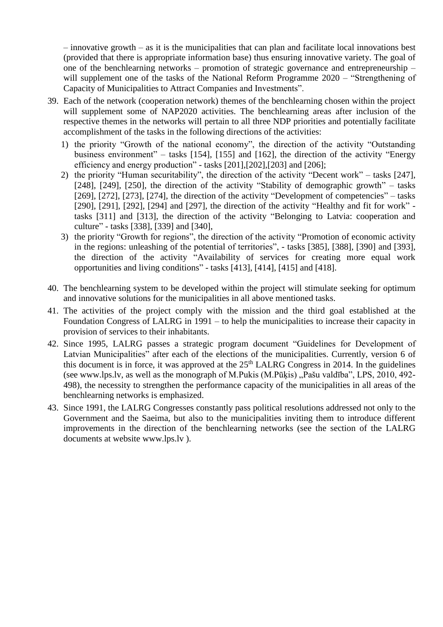– innovative growth – as it is the municipalities that can plan and facilitate local innovations best (provided that there is appropriate information base) thus ensuring innovative variety. The goal of one of the benchlearning networks – promotion of strategic governance and entrepreneurship – will supplement one of the tasks of the National Reform Programme 2020 – "Strengthening of Capacity of Municipalities to Attract Companies and Investments".

- 39. Each of the network (cooperation network) themes of the benchlearning chosen within the project will supplement some of NAP2020 activities. The benchlearning areas after inclusion of the respective themes in the networks will pertain to all three NDP priorities and potentially facilitate accomplishment of the tasks in the following directions of the activities:
	- 1) the priority "Growth of the national economy", the direction of the activity "Outstanding business environment" – tasks [154], [155] and [162], the direction of the activity "Energy efficiency and energy production" - tasks [201],[202],[203] and [206];
	- 2) the priority "Human securitability", the direction of the activity "Decent work" tasks [247], [248], [249], [250], the direction of the activity "Stability of demographic growth" – tasks [269], [272], [273], [274], the direction of the activity "Development of competencies" – tasks [290], [291], [292], [294] and [297], the direction of the activity "Healthy and fit for work" tasks [311] and [313], the direction of the activity "Belonging to Latvia: cooperation and culture" - tasks [338], [339] and [340],
	- 3) the priority "Growth for regions", the direction of the activity "Promotion of economic activity in the regions: unleashing of the potential of territories", - tasks [385], [388], [390] and [393], the direction of the activity "Availability of services for creating more equal work opportunities and living conditions" - tasks [413], [414], [415] and [418].
- 40. The benchlearning system to be developed within the project will stimulate seeking for optimum and innovative solutions for the municipalities in all above mentioned tasks.
- 41. The activities of the project comply with the mission and the third goal established at the Foundation Congress of LALRG in 1991 – to help the municipalities to increase their capacity in provision of services to their inhabitants.
- 42. Since 1995, LALRG passes a strategic program document "Guidelines for Development of Latvian Municipalities" after each of the elections of the municipalities. Currently, version 6 of this document is in force, it was approved at the  $25<sup>th</sup>$  LALRG Congress in 2014. In the guidelines (see [www.lps.lv,](http://www.lps.lv/) as well as the monograph of M.Pukis  $(M.P\bar{u}kis)$ ,  $Pa\check{s}u$  valdība", LPS, 2010, 492-498), the necessity to strengthen the performance capacity of the municipalities in all areas of the benchlearning networks is emphasized.
- 43. Since 1991, the LALRG Congresses constantly pass political resolutions addressed not only to the Government and the Saeima, but also to the municipalities inviting them to introduce different improvements in the direction of the benchlearning networks (see the section of the LALRG documents at website [www.lps.lv](http://www.lps.lv/) ).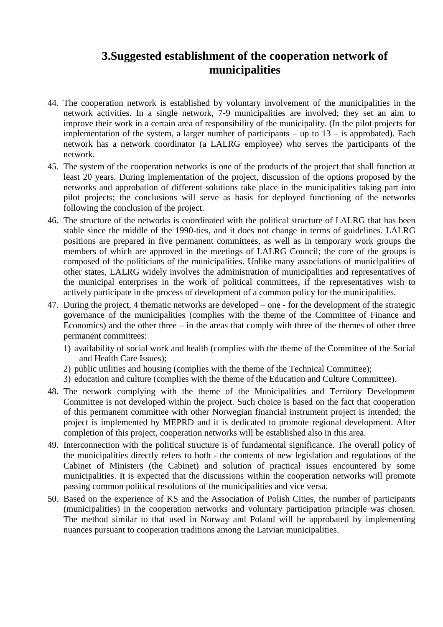### **3.Suggested establishment of the cooperation network of municipalities**

- <span id="page-8-0"></span>44. The cooperation network is established by voluntary involvement of the municipalities in the network activities. In a single network, 7-9 municipalities are involved; they set an aim to improve their work in a certain area of responsibility of the municipality. (In the pilot projects for implementation of the system, a larger number of participants – up to  $13 -$  is approbated). Each network has a network coordinator (a LALRG employee) who serves the participants of the network.
- 45. The system of the cooperation networks is one of the products of the project that shall function at least 20 years. During implementation of the project, discussion of the options proposed by the networks and approbation of different solutions take place in the municipalities taking part into pilot projects; the conclusions will serve as basis for deployed functioning of the networks following the conclusion of the project.
- 46. The structure of the networks is coordinated with the political structure of LALRG that has been stable since the middle of the 1990-ties, and it does not change in terms of guidelines. LALRG positions are prepared in five permanent committees, as well as in temporary work groups the members of which are approved in the meetings of LALRG Council; the core of the groups is composed of the politicians of the municipalities. Unlike many associations of municipalities of other states, LALRG widely involves the administration of municipalities and representatives of the municipal enterprises in the work of political committees, if the representatives wish to actively participate in the process of development of a common policy for the municipalities.
- 47. During the project, 4 thematic networks are developed one for the development of the strategic governance of the municipalities (complies with the theme of the Committee of Finance and Economics) and the other three – in the areas that comply with three of the themes of other three permanent committees:
	- 1) availability of social work and health (complies with the theme of the Committee of the Social and Health Care Issues);
	- 2) public utilities and housing (complies with the theme of the Technical Committee);
	- 3) education and culture (complies with the theme of the Education and Culture Committee).
- 48. The network complying with the theme of the Municipalities and Territory Development Committee is not developed within the project. Such choice is based on the fact that cooperation of this permanent committee with other Norwegian financial instrument project is intended; the project is implemented by MEPRD and it is dedicated to promote regional development. After completion of this project, cooperation networks will be established also in this area.
- 49. Interconnection with the political structure is of fundamental significance. The overall policy of the municipalities directly refers to both - the contents of new legislation and regulations of the Cabinet of Ministers (the Cabinet) and solution of practical issues encountered by some municipalities. It is expected that the discussions within the cooperation networks will promote passing common political resolutions of the municipalities and vice versa.
- 50. Based on the experience of KS and the Association of Polish Cities, the number of participants (municipalities) in the cooperation networks and voluntary participation principle was chosen. The method similar to that used in Norway and Poland will be approbated by implementing nuances pursuant to cooperation traditions among the Latvian municipalities.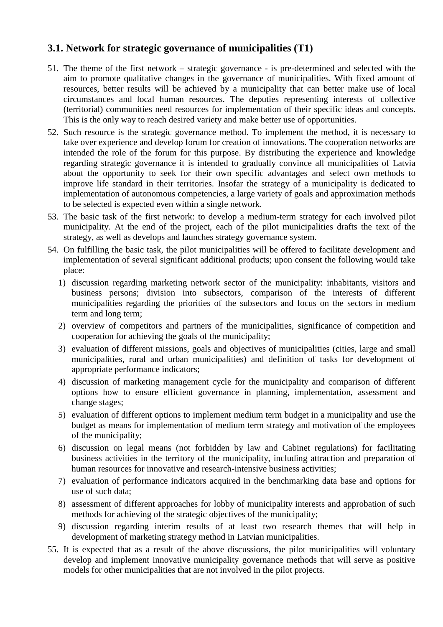#### <span id="page-9-0"></span>**3.1. Network for strategic governance of municipalities (T1)**

- 51. The theme of the first network strategic governance is pre-determined and selected with the aim to promote qualitative changes in the governance of municipalities. With fixed amount of resources, better results will be achieved by a municipality that can better make use of local circumstances and local human resources. The deputies representing interests of collective (territorial) communities need resources for implementation of their specific ideas and concepts. This is the only way to reach desired variety and make better use of opportunities.
- 52. Such resource is the strategic governance method. To implement the method, it is necessary to take over experience and develop forum for creation of innovations. The cooperation networks are intended the role of the forum for this purpose. By distributing the experience and knowledge regarding strategic governance it is intended to gradually convince all municipalities of Latvia about the opportunity to seek for their own specific advantages and select own methods to improve life standard in their territories. Insofar the strategy of a municipality is dedicated to implementation of autonomous competencies, a large variety of goals and approximation methods to be selected is expected even within a single network.
- 53. The basic task of the first network: to develop a medium-term strategy for each involved pilot municipality. At the end of the project, each of the pilot municipalities drafts the text of the strategy, as well as develops and launches strategy governance system.
- 54. On fulfilling the basic task, the pilot municipalities will be offered to facilitate development and implementation of several significant additional products; upon consent the following would take place:
	- 1) discussion regarding marketing network sector of the municipality: inhabitants, visitors and business persons; division into subsectors, comparison of the interests of different municipalities regarding the priorities of the subsectors and focus on the sectors in medium term and long term;
	- 2) overview of competitors and partners of the municipalities, significance of competition and cooperation for achieving the goals of the municipality;
	- 3) evaluation of different missions, goals and objectives of municipalities (cities, large and small municipalities, rural and urban municipalities) and definition of tasks for development of appropriate performance indicators;
	- 4) discussion of marketing management cycle for the municipality and comparison of different options how to ensure efficient governance in planning, implementation, assessment and change stages;
	- 5) evaluation of different options to implement medium term budget in a municipality and use the budget as means for implementation of medium term strategy and motivation of the employees of the municipality;
	- 6) discussion on legal means (not forbidden by law and Cabinet regulations) for facilitating business activities in the territory of the municipality, including attraction and preparation of human resources for innovative and research-intensive business activities;
	- 7) evaluation of performance indicators acquired in the benchmarking data base and options for use of such data;
	- 8) assessment of different approaches for lobby of municipality interests and approbation of such methods for achieving of the strategic objectives of the municipality;
	- 9) discussion regarding interim results of at least two research themes that will help in development of marketing strategy method in Latvian municipalities.
- 55. It is expected that as a result of the above discussions, the pilot municipalities will voluntary develop and implement innovative municipality governance methods that will serve as positive models for other municipalities that are not involved in the pilot projects.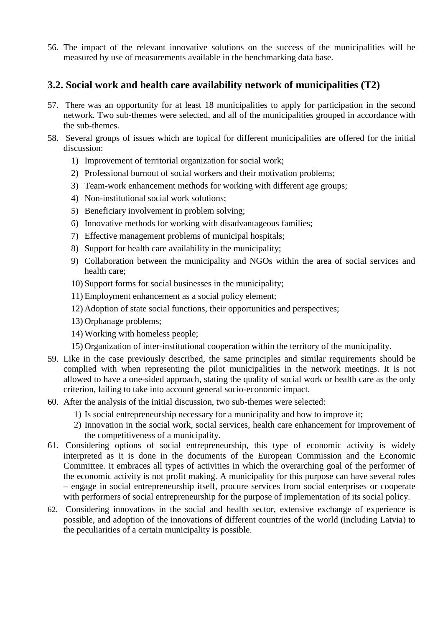56. The impact of the relevant innovative solutions on the success of the municipalities will be measured by use of measurements available in the benchmarking data base.

#### <span id="page-10-0"></span>**3.2. Social work and health care availability network of municipalities (T2)**

- 57. There was an opportunity for at least 18 municipalities to apply for participation in the second network. Two sub-themes were selected, and all of the municipalities grouped in accordance with the sub-themes.
- 58. Several groups of issues which are topical for different municipalities are offered for the initial discussion:
	- 1) Improvement of territorial organization for social work;
	- 2) Professional burnout of social workers and their motivation problems;
	- 3) Team-work enhancement methods for working with different age groups;
	- 4) Non-institutional social work solutions;
	- 5) Beneficiary involvement in problem solving;
	- 6) Innovative methods for working with disadvantageous families;
	- 7) Effective management problems of municipal hospitals;
	- 8) Support for health care availability in the municipality;
	- 9) Collaboration between the municipality and NGOs within the area of social services and health care;
	- 10) Support forms for social businesses in the municipality;
	- 11) Employment enhancement as a social policy element;
	- 12) Adoption of state social functions, their opportunities and perspectives;
	- 13) Orphanage problems;
	- 14) Working with homeless people;
	- 15) Organization of inter-institutional cooperation within the territory of the municipality.
- 59. Like in the case previously described, the same principles and similar requirements should be complied with when representing the pilot municipalities in the network meetings. It is not allowed to have a one-sided approach, stating the quality of social work or health care as the only criterion, failing to take into account general socio-economic impact.
- 60. After the analysis of the initial discussion, two sub-themes were selected:
	- 1) Is social entrepreneurship necessary for a municipality and how to improve it;
	- 2) Innovation in the social work, social services, health care enhancement for improvement of the competitiveness of a municipality.
- 61. Considering options of social entrepreneurship, this type of economic activity is widely interpreted as it is done in the documents of the European Commission and the Economic Committee. It embraces all types of activities in which the overarching goal of the performer of the economic activity is not profit making. A municipality for this purpose can have several roles – engage in social entrepreneurship itself, procure services from social enterprises or cooperate with performers of social entrepreneurship for the purpose of implementation of its social policy.
- 62. Considering innovations in the social and health sector, extensive exchange of experience is possible, and adoption of the innovations of different countries of the world (including Latvia) to the peculiarities of a certain municipality is possible.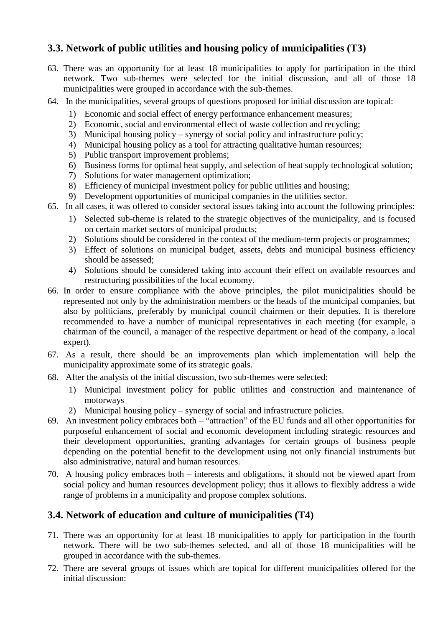### <span id="page-11-0"></span>**3.3. Network of public utilities and housing policy of municipalities (T3)**

- 63. There was an opportunity for at least 18 municipalities to apply for participation in the third network. Two sub-themes were selected for the initial discussion, and all of those 18 municipalities were grouped in accordance with the sub-themes.
- 64. In the municipalities, several groups of questions proposed for initial discussion are topical:
	- 1) Economic and social effect of energy performance enhancement measures;
	- 2) Economic, social and environmental effect of waste collection and recycling;
	- 3) Municipal housing policy synergy of social policy and infrastructure policy;
	- 4) Municipal housing policy as a tool for attracting qualitative human resources;
	- 5) Public transport improvement problems;
	- 6) Business forms for optimal heat supply, and selection of heat supply technological solution;
	- 7) Solutions for water management optimization;
	- 8) Efficiency of municipal investment policy for public utilities and housing;
	- 9) Development opportunities of municipal companies in the utilities sector.
- 65. In all cases, it was offered to consider sectoral issues taking into account the following principles:
	- 1) Selected sub-theme is related to the strategic objectives of the municipality, and is focused on certain market sectors of municipal products;
	- 2) Solutions should be considered in the context of the medium-term projects or programmes;
	- 3) Effect of solutions on municipal budget, assets, debts and municipal business efficiency should be assessed;
	- 4) Solutions should be considered taking into account their effect on available resources and restructuring possibilities of the local economy.
- 66. In order to ensure compliance with the above principles, the pilot municipalities should be represented not only by the administration members or the heads of the municipal companies, but also by politicians, preferably by municipal council chairmen or their deputies. It is therefore recommended to have a number of municipal representatives in each meeting (for example, a chairman of the council, a manager of the respective department or head of the company, a local expert).
- 67. As a result, there should be an improvements plan which implementation will help the municipality approximate some of its strategic goals.
- 68. After the analysis of the initial discussion, two sub-themes were selected:
	- 1) Municipal investment policy for public utilities and construction and maintenance of motorways
	- 2) Municipal housing policy synergy of social and infrastructure policies.
- 69. An investment policy embraces both "attraction" of the EU funds and all other opportunities for purposeful enhancement of social and economic development including strategic resources and their development opportunities, granting advantages for certain groups of business people depending on the potential benefit to the development using not only financial instruments but also administrative, natural and human resources.
- 70. A housing policy embraces both interests and obligations, it should not be viewed apart from social policy and human resources development policy; thus it allows to flexibly address a wide range of problems in a municipality and propose complex solutions.

### <span id="page-11-1"></span>**3.4. Network of education and culture of municipalities (T4)**

- 71. There was an opportunity for at least 18 municipalities to apply for participation in the fourth network. There will be two sub-themes selected, and all of those 18 municipalities will be grouped in accordance with the sub-themes.
- 72. There are several groups of issues which are topical for different municipalities offered for the initial discussion: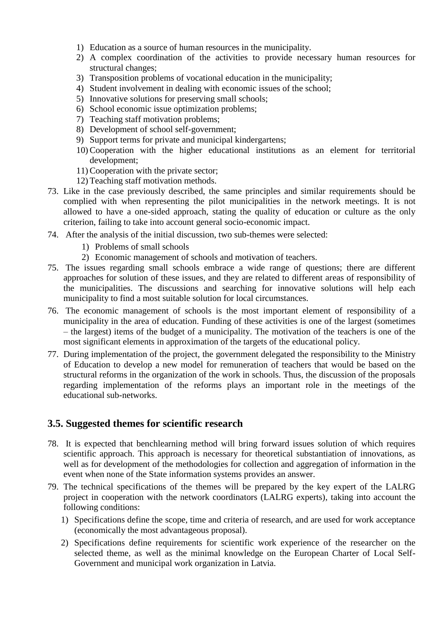- 1) Education as a source of human resources in the municipality.
- 2) A complex coordination of the activities to provide necessary human resources for structural changes;
- 3) Transposition problems of vocational education in the municipality;
- 4) Student involvement in dealing with economic issues of the school;
- 5) Innovative solutions for preserving small schools;
- 6) School economic issue optimization problems;
- 7) Teaching staff motivation problems;
- 8) Development of school self-government;
- 9) Support terms for private and municipal kindergartens;
- 10) Cooperation with the higher educational institutions as an element for territorial development;
- 11) Cooperation with the private sector;
- 12) Teaching staff motivation methods.
- 73. Like in the case previously described, the same principles and similar requirements should be complied with when representing the pilot municipalities in the network meetings. It is not allowed to have a one-sided approach, stating the quality of education or culture as the only criterion, failing to take into account general socio-economic impact.
- 74. After the analysis of the initial discussion, two sub-themes were selected:
	- 1) Problems of small schools
	- 2) Economic management of schools and motivation of teachers.
- 75. The issues regarding small schools embrace a wide range of questions; there are different approaches for solution of these issues, and they are related to different areas of responsibility of the municipalities. The discussions and searching for innovative solutions will help each municipality to find a most suitable solution for local circumstances.
- 76. The economic management of schools is the most important element of responsibility of a municipality in the area of education. Funding of these activities is one of the largest (sometimes – the largest) items of the budget of a municipality. The motivation of the teachers is one of the most significant elements in approximation of the targets of the educational policy.
- 77. During implementation of the project, the government delegated the responsibility to the Ministry of Education to develop a new model for remuneration of teachers that would be based on the structural reforms in the organization of the work in schools. Thus, the discussion of the proposals regarding implementation of the reforms plays an important role in the meetings of the educational sub-networks.

#### <span id="page-12-0"></span>**3.5. Suggested themes for scientific research**

- 78. It is expected that benchlearning method will bring forward issues solution of which requires scientific approach. This approach is necessary for theoretical substantiation of innovations, as well as for development of the methodologies for collection and aggregation of information in the event when none of the State information systems provides an answer.
- 79. The technical specifications of the themes will be prepared by the key expert of the LALRG project in cooperation with the network coordinators (LALRG experts), taking into account the following conditions:
	- 1) Specifications define the scope, time and criteria of research, and are used for work acceptance (economically the most advantageous proposal).
	- 2) Specifications define requirements for scientific work experience of the researcher on the selected theme, as well as the minimal knowledge on the European Charter of Local Self-Government and municipal work organization in Latvia.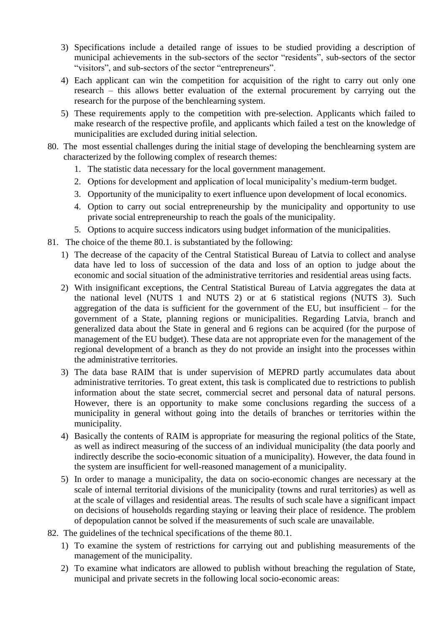- 3) Specifications include a detailed range of issues to be studied providing a description of municipal achievements in the sub-sectors of the sector "residents", sub-sectors of the sector "visitors", and sub-sectors of the sector "entrepreneurs".
- 4) Each applicant can win the competition for acquisition of the right to carry out only one research – this allows better evaluation of the external procurement by carrying out the research for the purpose of the benchlearning system.
- 5) These requirements apply to the competition with pre-selection. Applicants which failed to make research of the respective profile, and applicants which failed a test on the knowledge of municipalities are excluded during initial selection.
- 80. The most essential challenges during the initial stage of developing the benchlearning system are characterized by the following complex of research themes:
	- 1. The statistic data necessary for the local government management.
	- 2. Options for development and application of local municipality's medium-term budget.
	- 3. Opportunity of the municipality to exert influence upon development of local economics.
	- 4. Option to carry out social entrepreneurship by the municipality and opportunity to use private social entrepreneurship to reach the goals of the municipality.
	- 5. Options to acquire success indicators using budget information of the municipalities.
- 81. The choice of the theme 80.1. is substantiated by the following:
	- 1) The decrease of the capacity of the Central Statistical Bureau of Latvia to collect and analyse data have led to loss of succession of the data and loss of an option to judge about the economic and social situation of the administrative territories and residential areas using facts.
	- 2) With insignificant exceptions, the Central Statistical Bureau of Latvia aggregates the data at the national level (NUTS 1 and NUTS 2) or at 6 statistical regions (NUTS 3). Such aggregation of the data is sufficient for the government of the EU, but insufficient  $-$  for the government of a State, planning regions or municipalities. Regarding Latvia, branch and generalized data about the State in general and 6 regions can be acquired (for the purpose of management of the EU budget). These data are not appropriate even for the management of the regional development of a branch as they do not provide an insight into the processes within the administrative territories.
	- 3) The data base RAIM that is under supervision of MEPRD partly accumulates data about administrative territories. To great extent, this task is complicated due to restrictions to publish information about the state secret, commercial secret and personal data of natural persons. However, there is an opportunity to make some conclusions regarding the success of a municipality in general without going into the details of branches or territories within the municipality.
	- 4) Basically the contents of RAIM is appropriate for measuring the regional politics of the State, as well as indirect measuring of the success of an individual municipality (the data poorly and indirectly describe the socio-economic situation of a municipality). However, the data found in the system are insufficient for well-reasoned management of a municipality.
	- 5) In order to manage a municipality, the data on socio-economic changes are necessary at the scale of internal territorial divisions of the municipality (towns and rural territories) as well as at the scale of villages and residential areas. The results of such scale have a significant impact on decisions of households regarding staying or leaving their place of residence. The problem of depopulation cannot be solved if the measurements of such scale are unavailable.
- 82. The guidelines of the technical specifications of the theme 80.1.
	- 1) To examine the system of restrictions for carrying out and publishing measurements of the management of the municipality.
	- 2) To examine what indicators are allowed to publish without breaching the regulation of State, municipal and private secrets in the following local socio-economic areas: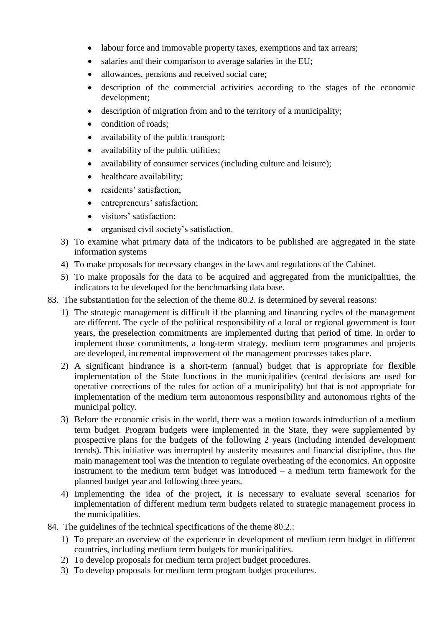- labour force and immovable property taxes, exemptions and tax arrears;
- salaries and their comparison to average salaries in the EU;
- allowances, pensions and received social care;
- description of the commercial activities according to the stages of the economic development;
- description of migration from and to the territory of a municipality;
- condition of roads:
- availability of the public transport;
- availability of the public utilities;
- availability of consumer services (including culture and leisure);
- healthcare availability;
- residents' satisfaction;
- entrepreneurs' satisfaction;
- visitors' satisfaction;
- organised civil society's satisfaction.
- 3) To examine what primary data of the indicators to be published are aggregated in the state information systems
- 4) To make proposals for necessary changes in the laws and regulations of the Cabinet.
- 5) To make proposals for the data to be acquired and aggregated from the municipalities, the indicators to be developed for the benchmarking data base.
- 83. The substantiation for the selection of the theme 80.2. is determined by several reasons:
	- 1) The strategic management is difficult if the planning and financing cycles of the management are different. The cycle of the political responsibility of a local or regional government is four years, the preselection commitments are implemented during that period of time. In order to implement those commitments, a long-term strategy, medium term programmes and projects are developed, incremental improvement of the management processes takes place.
	- 2) A significant hindrance is a short-term (annual) budget that is appropriate for flexible implementation of the State functions in the municipalities (central decisions are used for operative corrections of the rules for action of a municipality) but that is not appropriate for implementation of the medium term autonomous responsibility and autonomous rights of the municipal policy.
	- 3) Before the economic crisis in the world, there was a motion towards introduction of a medium term budget. Program budgets were implemented in the State, they were supplemented by prospective plans for the budgets of the following 2 years (including intended development trends). This initiative was interrupted by austerity measures and financial discipline, thus the main management tool was the intention to regulate overheating of the economics. An opposite instrument to the medium term budget was introduced – a medium term framework for the planned budget year and following three years.
	- 4) Implementing the idea of the project, it is necessary to evaluate several scenarios for implementation of different medium term budgets related to strategic management process in the municipalities.
- 84. The guidelines of the technical specifications of the theme 80.2.:
	- 1) To prepare an overview of the experience in development of medium term budget in different countries, including medium term budgets for municipalities.
	- 2) To develop proposals for medium term project budget procedures.
	- 3) To develop proposals for medium term program budget procedures.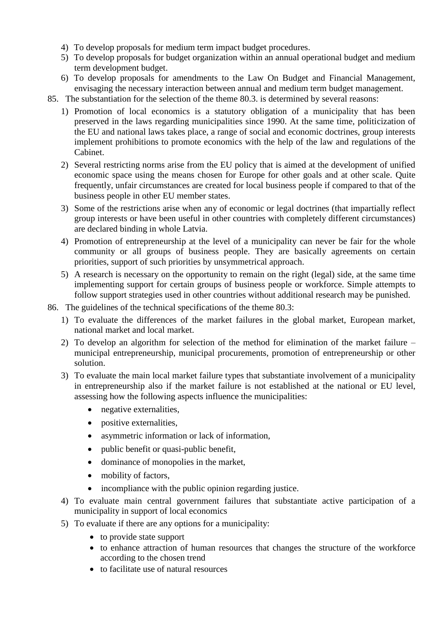- 4) To develop proposals for medium term impact budget procedures.
- 5) To develop proposals for budget organization within an annual operational budget and medium term development budget.
- 6) To develop proposals for amendments to the Law On Budget and Financial Management, envisaging the necessary interaction between annual and medium term budget management.
- 85. The substantiation for the selection of the theme 80.3. is determined by several reasons:
	- 1) Promotion of local economics is a statutory obligation of a municipality that has been preserved in the laws regarding municipalities since 1990. At the same time, politicization of the EU and national laws takes place, a range of social and economic doctrines, group interests implement prohibitions to promote economics with the help of the law and regulations of the Cabinet.
	- 2) Several restricting norms arise from the EU policy that is aimed at the development of unified economic space using the means chosen for Europe for other goals and at other scale. Quite frequently, unfair circumstances are created for local business people if compared to that of the business people in other EU member states.
	- 3) Some of the restrictions arise when any of economic or legal doctrines (that impartially reflect group interests or have been useful in other countries with completely different circumstances) are declared binding in whole Latvia.
	- 4) Promotion of entrepreneurship at the level of a municipality can never be fair for the whole community or all groups of business people. They are basically agreements on certain priorities, support of such priorities by unsymmetrical approach.
	- 5) A research is necessary on the opportunity to remain on the right (legal) side, at the same time implementing support for certain groups of business people or workforce. Simple attempts to follow support strategies used in other countries without additional research may be punished.
- 86. The guidelines of the technical specifications of the theme 80.3:
	- 1) To evaluate the differences of the market failures in the global market, European market, national market and local market.
	- 2) To develop an algorithm for selection of the method for elimination of the market failure municipal entrepreneurship, municipal procurements, promotion of entrepreneurship or other solution.
	- 3) To evaluate the main local market failure types that substantiate involvement of a municipality in entrepreneurship also if the market failure is not established at the national or EU level, assessing how the following aspects influence the municipalities:
		- negative externalities,
		- positive externalities,
		- asymmetric information or lack of information,
		- public benefit or quasi-public benefit,
		- dominance of monopolies in the market,
		- mobility of factors,
		- incompliance with the public opinion regarding justice.
	- 4) To evaluate main central government failures that substantiate active participation of a municipality in support of local economics
	- 5) To evaluate if there are any options for a municipality:
		- to provide state support
		- to enhance attraction of human resources that changes the structure of the workforce according to the chosen trend
		- to facilitate use of natural resources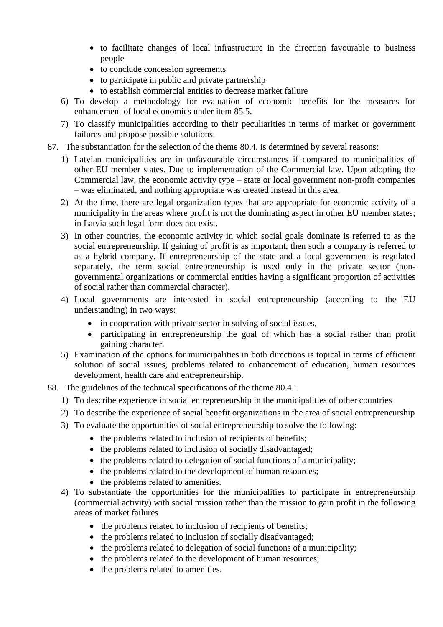- to facilitate changes of local infrastructure in the direction favourable to business people
- to conclude concession agreements
- to participate in public and private partnership
- to establish commercial entities to decrease market failure
- 6) To develop a methodology for evaluation of economic benefits for the measures for enhancement of local economics under item 85.5.
- 7) To classify municipalities according to their peculiarities in terms of market or government failures and propose possible solutions.
- 87. The substantiation for the selection of the theme 80.4. is determined by several reasons:
	- 1) Latvian municipalities are in unfavourable circumstances if compared to municipalities of other EU member states. Due to implementation of the Commercial law. Upon adopting the Commercial law, the economic activity type – state or local government non-profit companies – was eliminated, and nothing appropriate was created instead in this area.
	- 2) At the time, there are legal organization types that are appropriate for economic activity of a municipality in the areas where profit is not the dominating aspect in other EU member states; in Latvia such legal form does not exist.
	- 3) In other countries, the economic activity in which social goals dominate is referred to as the social entrepreneurship. If gaining of profit is as important, then such a company is referred to as a hybrid company. If entrepreneurship of the state and a local government is regulated separately, the term social entrepreneurship is used only in the private sector (nongovernmental organizations or commercial entities having a significant proportion of activities of social rather than commercial character).
	- 4) Local governments are interested in social entrepreneurship (according to the EU understanding) in two ways:
		- in cooperation with private sector in solving of social issues,
		- participating in entrepreneurship the goal of which has a social rather than profit gaining character.
	- 5) Examination of the options for municipalities in both directions is topical in terms of efficient solution of social issues, problems related to enhancement of education, human resources development, health care and entrepreneurship.
- 88. The guidelines of the technical specifications of the theme 80.4.:
	- 1) To describe experience in social entrepreneurship in the municipalities of other countries
	- 2) To describe the experience of social benefit organizations in the area of social entrepreneurship
	- 3) To evaluate the opportunities of social entrepreneurship to solve the following:
		- the problems related to inclusion of recipients of benefits:
		- the problems related to inclusion of socially disadvantaged;
		- $\bullet$  the problems related to delegation of social functions of a municipality;
		- the problems related to the development of human resources;
		- the problems related to amenities.
	- 4) To substantiate the opportunities for the municipalities to participate in entrepreneurship (commercial activity) with social mission rather than the mission to gain profit in the following areas of market failures
		- the problems related to inclusion of recipients of benefits;
		- the problems related to inclusion of socially disadvantaged;
		- the problems related to delegation of social functions of a municipality;
		- the problems related to the development of human resources;
		- the problems related to amenities.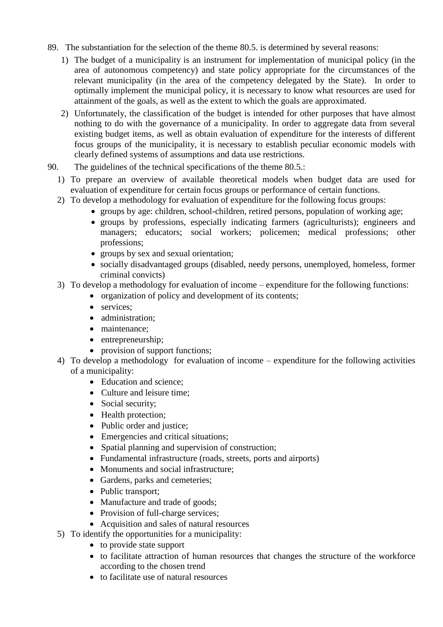- 89. The substantiation for the selection of the theme 80.5. is determined by several reasons:
	- 1) The budget of a municipality is an instrument for implementation of municipal policy (in the area of autonomous competency) and state policy appropriate for the circumstances of the relevant municipality (in the area of the competency delegated by the State). In order to optimally implement the municipal policy, it is necessary to know what resources are used for attainment of the goals, as well as the extent to which the goals are approximated.
	- 2) Unfortunately, the classification of the budget is intended for other purposes that have almost nothing to do with the governance of a municipality. In order to aggregate data from several existing budget items, as well as obtain evaluation of expenditure for the interests of different focus groups of the municipality, it is necessary to establish peculiar economic models with clearly defined systems of assumptions and data use restrictions.
- 90. The guidelines of the technical specifications of the theme 80.5.:
	- 1) To prepare an overview of available theoretical models when budget data are used for evaluation of expenditure for certain focus groups or performance of certain functions.
	- 2) To develop a methodology for evaluation of expenditure for the following focus groups:
		- groups by age: children, school-children, retired persons, population of working age;
		- groups by professions, especially indicating farmers (agriculturists); engineers and managers; educators; social workers; policemen; medical professions; other professions;
		- groups by sex and sexual orientation;
		- socially disadvantaged groups (disabled, needy persons, unemployed, homeless, former criminal convicts)
	- 3) To develop a methodology for evaluation of income expenditure for the following functions:
		- organization of policy and development of its contents;
			- services:
			- administration:
			- maintenance;
			- entrepreneurship;
			- provision of support functions;
	- 4) To develop a methodology for evaluation of income expenditure for the following activities of a municipality:
		- Education and science:
		- Culture and leisure time:
		- Social security;
		- Health protection;
		- Public order and justice;
		- Emergencies and critical situations;
		- Spatial planning and supervision of construction;
		- Fundamental infrastructure (roads, streets, ports and airports)
		- Monuments and social infrastructure:
		- Gardens, parks and cemeteries;
		- Public transport;
		- Manufacture and trade of goods;
		- Provision of full-charge services;
		- Acquisition and sales of natural resources
	- 5) To identify the opportunities for a municipality:
		- to provide state support
		- to facilitate attraction of human resources that changes the structure of the workforce according to the chosen trend
		- to facilitate use of natural resources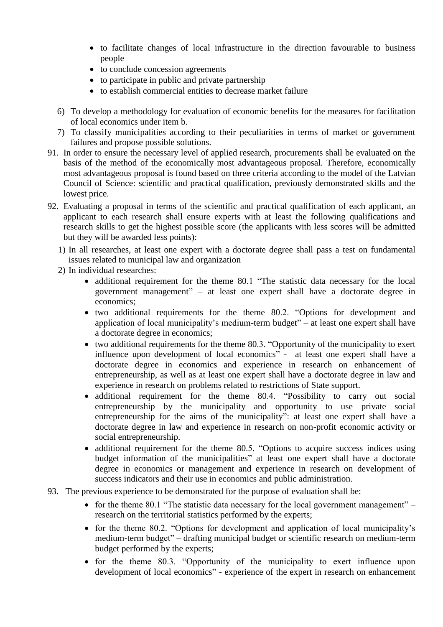- to facilitate changes of local infrastructure in the direction favourable to business people
- to conclude concession agreements
- to participate in public and private partnership
- to establish commercial entities to decrease market failure
- 6) To develop a methodology for evaluation of economic benefits for the measures for facilitation of local economics under item b.
- 7) To classify municipalities according to their peculiarities in terms of market or government failures and propose possible solutions.
- 91. In order to ensure the necessary level of applied research, procurements shall be evaluated on the basis of the method of the economically most advantageous proposal. Therefore, economically most advantageous proposal is found based on three criteria according to the model of the Latvian Council of Science: scientific and practical qualification, previously demonstrated skills and the lowest price.
- 92. Evaluating a proposal in terms of the scientific and practical qualification of each applicant, an applicant to each research shall ensure experts with at least the following qualifications and research skills to get the highest possible score (the applicants with less scores will be admitted but they will be awarded less points):
	- 1) In all researches, at least one expert with a doctorate degree shall pass a test on fundamental issues related to municipal law and organization
	- 2) In individual researches:
		- additional requirement for the theme 80.1 "The statistic data necessary for the local government management" – at least one expert shall have a doctorate degree in economics;
		- two additional requirements for the theme 80.2. "Options for development and application of local municipality's medium-term budget" – at least one expert shall have a doctorate degree in economics;
		- two additional requirements for the theme 80.3. "Opportunity of the municipality to exert influence upon development of local economics" - at least one expert shall have a doctorate degree in economics and experience in research on enhancement of entrepreneurship, as well as at least one expert shall have a doctorate degree in law and experience in research on problems related to restrictions of State support.
		- additional requirement for the theme 80.4. "Possibility to carry out social entrepreneurship by the municipality and opportunity to use private social entrepreneurship for the aims of the municipality": at least one expert shall have a doctorate degree in law and experience in research on non-profit economic activity or social entrepreneurship.
		- additional requirement for the theme 80.5. "Options to acquire success indices using budget information of the municipalities" at least one expert shall have a doctorate degree in economics or management and experience in research on development of success indicators and their use in economics and public administration.
- 93. The previous experience to be demonstrated for the purpose of evaluation shall be:
	- for the theme 80.1 "The statistic data necessary for the local government management" research on the territorial statistics performed by the experts;
	- for the theme 80.2. "Options for development and application of local municipality's medium-term budget" – drafting municipal budget or scientific research on medium-term budget performed by the experts;
	- for the theme 80.3. "Opportunity of the municipality to exert influence upon development of local economics" - experience of the expert in research on enhancement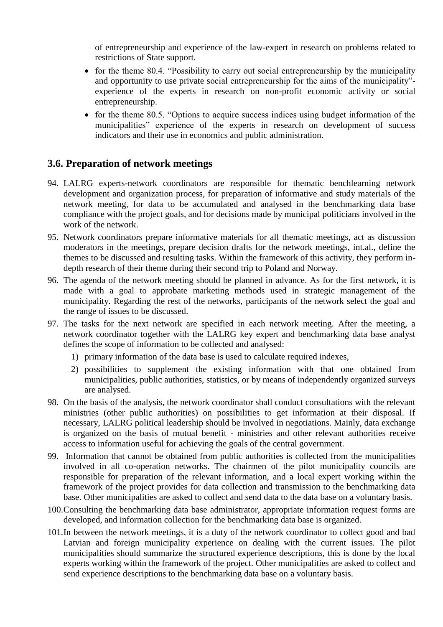of entrepreneurship and experience of the law-expert in research on problems related to restrictions of State support.

- for the theme 80.4. "Possibility to carry out social entrepreneurship by the municipality and opportunity to use private social entrepreneurship for the aims of the municipality" experience of the experts in research on non-profit economic activity or social entrepreneurship.
- for the theme 80.5. "Options to acquire success indices using budget information of the municipalities" experience of the experts in research on development of success indicators and their use in economics and public administration.

#### <span id="page-19-0"></span>**3.6. Preparation of network meetings**

- 94. LALRG experts-network coordinators are responsible for thematic benchlearning network development and organization process, for preparation of informative and study materials of the network meeting, for data to be accumulated and analysed in the benchmarking data base compliance with the project goals, and for decisions made by municipal politicians involved in the work of the network.
- 95. Network coordinators prepare informative materials for all thematic meetings, act as discussion moderators in the meetings, prepare decision drafts for the network meetings, int.al., define the themes to be discussed and resulting tasks. Within the framework of this activity, they perform indepth research of their theme during their second trip to Poland and Norway.
- 96. The agenda of the network meeting should be planned in advance. As for the first network, it is made with a goal to approbate marketing methods used in strategic management of the municipality. Regarding the rest of the networks, participants of the network select the goal and the range of issues to be discussed.
- 97. The tasks for the next network are specified in each network meeting. After the meeting, a network coordinator together with the LALRG key expert and benchmarking data base analyst defines the scope of information to be collected and analysed:
	- 1) primary information of the data base is used to calculate required indexes,
	- 2) possibilities to supplement the existing information with that one obtained from municipalities, public authorities, statistics, or by means of independently organized surveys are analysed.
- 98. On the basis of the analysis, the network coordinator shall conduct consultations with the relevant ministries (other public authorities) on possibilities to get information at their disposal. If necessary, LALRG political leadership should be involved in negotiations. Mainly, data exchange is organized on the basis of mutual benefit - ministries and other relevant authorities receive access to information useful for achieving the goals of the central government.
- 99. Information that cannot be obtained from public authorities is collected from the municipalities involved in all co-operation networks. The chairmen of the pilot municipality councils are responsible for preparation of the relevant information, and a local expert working within the framework of the project provides for data collection and transmission to the benchmarking data base. Other municipalities are asked to collect and send data to the data base on a voluntary basis.
- 100.Consulting the benchmarking data base administrator, appropriate information request forms are developed, and information collection for the benchmarking data base is organized.
- 101.In between the network meetings, it is a duty of the network coordinator to collect good and bad Latvian and foreign municipality experience on dealing with the current issues. The pilot municipalities should summarize the structured experience descriptions, this is done by the local experts working within the framework of the project. Other municipalities are asked to collect and send experience descriptions to the benchmarking data base on a voluntary basis.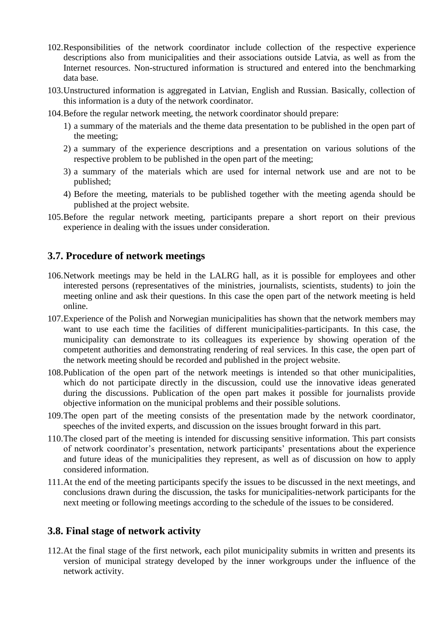- 102.Responsibilities of the network coordinator include collection of the respective experience descriptions also from municipalities and their associations outside Latvia, as well as from the Internet resources. Non-structured information is structured and entered into the benchmarking data base.
- 103.Unstructured information is aggregated in Latvian, English and Russian. Basically, collection of this information is a duty of the network coordinator.
- 104.Before the regular network meeting, the network coordinator should prepare:
	- 1) a summary of the materials and the theme data presentation to be published in the open part of the meeting;
	- 2) a summary of the experience descriptions and a presentation on various solutions of the respective problem to be published in the open part of the meeting;
	- 3) a summary of the materials which are used for internal network use and are not to be published;
	- 4) Before the meeting, materials to be published together with the meeting agenda should be published at the project website.
- 105.Before the regular network meeting, participants prepare a short report on their previous experience in dealing with the issues under consideration.

#### <span id="page-20-0"></span>**3.7. Procedure of network meetings**

- 106.Network meetings may be held in the LALRG hall, as it is possible for employees and other interested persons (representatives of the ministries, journalists, scientists, students) to join the meeting online and ask their questions. In this case the open part of the network meeting is held online.
- 107.Experience of the Polish and Norwegian municipalities has shown that the network members may want to use each time the facilities of different municipalities-participants. In this case, the municipality can demonstrate to its colleagues its experience by showing operation of the competent authorities and demonstrating rendering of real services. In this case, the open part of the network meeting should be recorded and published in the project website.
- 108.Publication of the open part of the network meetings is intended so that other municipalities, which do not participate directly in the discussion, could use the innovative ideas generated during the discussions. Publication of the open part makes it possible for journalists provide objective information on the municipal problems and their possible solutions.
- 109.The open part of the meeting consists of the presentation made by the network coordinator, speeches of the invited experts, and discussion on the issues brought forward in this part.
- 110.The closed part of the meeting is intended for discussing sensitive information. This part consists of network coordinator's presentation, network participants' presentations about the experience and future ideas of the municipalities they represent, as well as of discussion on how to apply considered information.
- 111.At the end of the meeting participants specify the issues to be discussed in the next meetings, and conclusions drawn during the discussion, the tasks for municipalities-network participants for the next meeting or following meetings according to the schedule of the issues to be considered.

#### <span id="page-20-1"></span>**3.8. Final stage of network activity**

112.At the final stage of the first network, each pilot municipality submits in written and presents its version of municipal strategy developed by the inner workgroups under the influence of the network activity.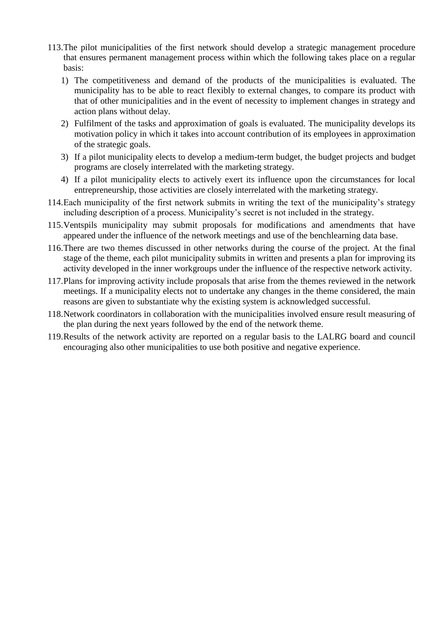- 113.The pilot municipalities of the first network should develop a strategic management procedure that ensures permanent management process within which the following takes place on a regular basis:
	- 1) The competitiveness and demand of the products of the municipalities is evaluated. The municipality has to be able to react flexibly to external changes, to compare its product with that of other municipalities and in the event of necessity to implement changes in strategy and action plans without delay.
	- 2) Fulfilment of the tasks and approximation of goals is evaluated. The municipality develops its motivation policy in which it takes into account contribution of its employees in approximation of the strategic goals.
	- 3) If a pilot municipality elects to develop a medium-term budget, the budget projects and budget programs are closely interrelated with the marketing strategy.
	- 4) If a pilot municipality elects to actively exert its influence upon the circumstances for local entrepreneurship, those activities are closely interrelated with the marketing strategy.
- 114.Each municipality of the first network submits in writing the text of the municipality's strategy including description of a process. Municipality's secret is not included in the strategy.
- 115.Ventspils municipality may submit proposals for modifications and amendments that have appeared under the influence of the network meetings and use of the benchlearning data base.
- 116.There are two themes discussed in other networks during the course of the project. At the final stage of the theme, each pilot municipality submits in written and presents a plan for improving its activity developed in the inner workgroups under the influence of the respective network activity.
- 117.Plans for improving activity include proposals that arise from the themes reviewed in the network meetings. If a municipality elects not to undertake any changes in the theme considered, the main reasons are given to substantiate why the existing system is acknowledged successful.
- 118.Network coordinators in collaboration with the municipalities involved ensure result measuring of the plan during the next years followed by the end of the network theme.
- 119.Results of the network activity are reported on a regular basis to the LALRG board and council encouraging also other municipalities to use both positive and negative experience.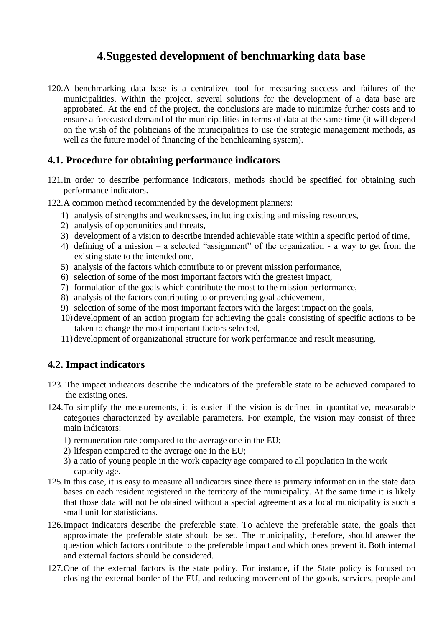### **4.Suggested development of benchmarking data base**

<span id="page-22-0"></span>120.A benchmarking data base is a centralized tool for measuring success and failures of the municipalities. Within the project, several solutions for the development of a data base are approbated. At the end of the project, the conclusions are made to minimize further costs and to ensure a forecasted demand of the municipalities in terms of data at the same time (it will depend on the wish of the politicians of the municipalities to use the strategic management methods, as well as the future model of financing of the benchlearning system).

#### <span id="page-22-1"></span>**4.1. Procedure for obtaining performance indicators**

- 121.In order to describe performance indicators, methods should be specified for obtaining such performance indicators.
- 122.A common method recommended by the development planners:
	- 1) analysis of strengths and weaknesses, including existing and missing resources,
	- 2) analysis of opportunities and threats,
	- 3) development of a vision to describe intended achievable state within a specific period of time,
	- 4) defining of a mission a selected "assignment" of the organization a way to get from the existing state to the intended one,
	- 5) analysis of the factors which contribute to or prevent mission performance,
	- 6) selection of some of the most important factors with the greatest impact,
	- 7) formulation of the goals which contribute the most to the mission performance,
	- 8) analysis of the factors contributing to or preventing goal achievement,
	- 9) selection of some of the most important factors with the largest impact on the goals,
	- 10)development of an action program for achieving the goals consisting of specific actions to be taken to change the most important factors selected,
	- 11)development of organizational structure for work performance and result measuring.

#### <span id="page-22-2"></span>**4.2. Impact indicators**

- 123. The impact indicators describe the indicators of the preferable state to be achieved compared to the existing ones.
- 124.To simplify the measurements, it is easier if the vision is defined in quantitative, measurable categories characterized by available parameters. For example, the vision may consist of three main indicators:
	- 1) remuneration rate compared to the average one in the EU;
	- 2) lifespan compared to the average one in the EU;
	- 3) a ratio of young people in the work capacity age compared to all population in the work capacity age.
- 125.In this case, it is easy to measure all indicators since there is primary information in the state data bases on each resident registered in the territory of the municipality. At the same time it is likely that those data will not be obtained without a special agreement as a local municipality is such a small unit for statisticians.
- 126.Impact indicators describe the preferable state. To achieve the preferable state, the goals that approximate the preferable state should be set. The municipality, therefore, should answer the question which factors contribute to the preferable impact and which ones prevent it. Both internal and external factors should be considered.
- 127.One of the external factors is the state policy. For instance, if the State policy is focused on closing the external border of the EU, and reducing movement of the goods, services, people and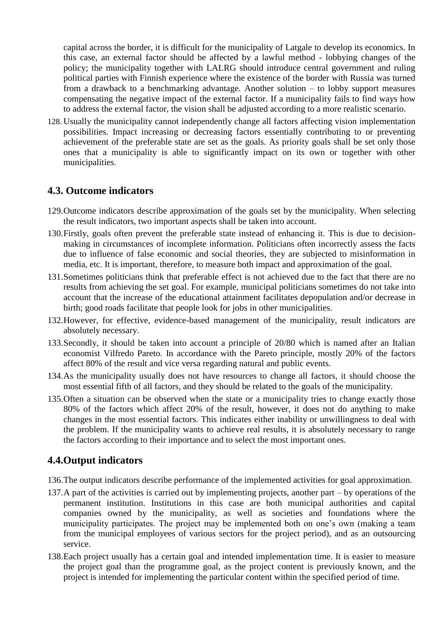capital across the border, it is difficult for the municipality of Latgale to develop its economics. In this case, an external factor should be affected by a lawful method - lobbying changes of the policy; the municipality together with LALRG should introduce central government and ruling political parties with Finnish experience where the existence of the border with Russia was turned from a drawback to a benchmarking advantage. Another solution – to lobby support measures compensating the negative impact of the external factor. If a municipality fails to find ways how to address the external factor, the vision shall be adjusted according to a more realistic scenario.

128. Usually the municipality cannot independently change all factors affecting vision implementation possibilities. Impact increasing or decreasing factors essentially contributing to or preventing achievement of the preferable state are set as the goals. As priority goals shall be set only those ones that a municipality is able to significantly impact on its own or together with other municipalities.

#### <span id="page-23-0"></span>**4.3. Outcome indicators**

- 129.Outcome indicators describe approximation of the goals set by the municipality. When selecting the result indicators, two important aspects shall be taken into account.
- 130.Firstly, goals often prevent the preferable state instead of enhancing it. This is due to decisionmaking in circumstances of incomplete information. Politicians often incorrectly assess the facts due to influence of false economic and social theories, they are subjected to misinformation in media, etc. It is important, therefore, to measure both impact and approximation of the goal.
- 131.Sometimes politicians think that preferable effect is not achieved due to the fact that there are no results from achieving the set goal. For example, municipal politicians sometimes do not take into account that the increase of the educational attainment facilitates depopulation and/or decrease in birth; good roads facilitate that people look for jobs in other municipalities.
- 132.However, for effective, evidence-based management of the municipality, result indicators are absolutely necessary.
- 133.Secondly, it should be taken into account a principle of 20/80 which is named after an Italian economist Vilfredo Pareto. In accordance with the Pareto principle, mostly 20% of the factors affect 80% of the result and vice versa regarding natural and public events.
- 134.As the municipality usually does not have resources to change all factors, it should choose the most essential fifth of all factors, and they should be related to the goals of the municipality.
- 135.Often a situation can be observed when the state or a municipality tries to change exactly those 80% of the factors which affect 20% of the result, however, it does not do anything to make changes in the most essential factors. This indicates either inability or unwillingness to deal with the problem. If the municipality wants to achieve real results, it is absolutely necessary to range the factors according to their importance and to select the most important ones.

#### <span id="page-23-1"></span>**4.4.Output indicators**

- 136.The output indicators describe performance of the implemented activities for goal approximation.
- 137.A part of the activities is carried out by implementing projects, another part by operations of the permanent institution. Institutions in this case are both municipal authorities and capital companies owned by the municipality, as well as societies and foundations where the municipality participates. The project may be implemented both on one's own (making a team from the municipal employees of various sectors for the project period), and as an outsourcing service.
- 138.Each project usually has a certain goal and intended implementation time. It is easier to measure the project goal than the programme goal, as the project content is previously known, and the project is intended for implementing the particular content within the specified period of time.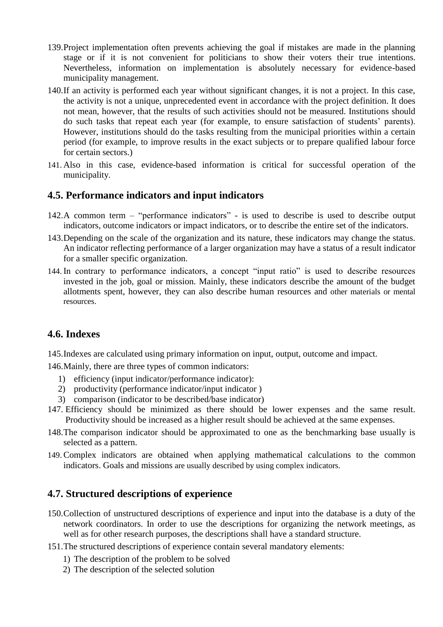- 139.Project implementation often prevents achieving the goal if mistakes are made in the planning stage or if it is not convenient for politicians to show their voters their true intentions. Nevertheless, information on implementation is absolutely necessary for evidence-based municipality management.
- 140.If an activity is performed each year without significant changes, it is not a project. In this case, the activity is not a unique, unprecedented event in accordance with the project definition. It does not mean, however, that the results of such activities should not be measured. Institutions should do such tasks that repeat each year (for example, to ensure satisfaction of students' parents). However, institutions should do the tasks resulting from the municipal priorities within a certain period (for example, to improve results in the exact subjects or to prepare qualified labour force for certain sectors.)
- 141. Also in this case, evidence-based information is critical for successful operation of the municipality.

#### <span id="page-24-0"></span>**4.5. Performance indicators and input indicators**

- 142.A common term "performance indicators" is used to describe is used to describe output indicators, outcome indicators or impact indicators, or to describe the entire set of the indicators.
- 143.Depending on the scale of the organization and its nature, these indicators may change the status. An indicator reflecting performance of a larger organization may have a status of a result indicator for a smaller specific organization.
- 144. In contrary to performance indicators, a concept "input ratio" is used to describe resources invested in the job, goal or mission. Mainly, these indicators describe the amount of the budget allotments spent, however, they can also describe human resources and other materials or mental resources.

#### <span id="page-24-1"></span>**4.6. Indexes**

145.Indexes are calculated using primary information on input, output, outcome and impact.

146.Mainly, there are three types of common indicators:

- 1) efficiency (input indicator/performance indicator):
- 2) productivity (performance indicator/input indicator )
- 3) comparison (indicator to be described/base indicator)
- 147. Efficiency should be minimized as there should be lower expenses and the same result. Productivity should be increased as a higher result should be achieved at the same expenses.
- 148.The comparison indicator should be approximated to one as the benchmarking base usually is selected as a pattern.
- 149. Complex indicators are obtained when applying mathematical calculations to the common indicators. Goals and missions are usually described by using complex indicators.

#### <span id="page-24-2"></span>**4.7. Structured descriptions of experience**

- 150.Collection of unstructured descriptions of experience and input into the database is a duty of the network coordinators. In order to use the descriptions for organizing the network meetings, as well as for other research purposes, the descriptions shall have a standard structure.
- 151.The structured descriptions of experience contain several mandatory elements:
	- 1) The description of the problem to be solved
	- 2) The description of the selected solution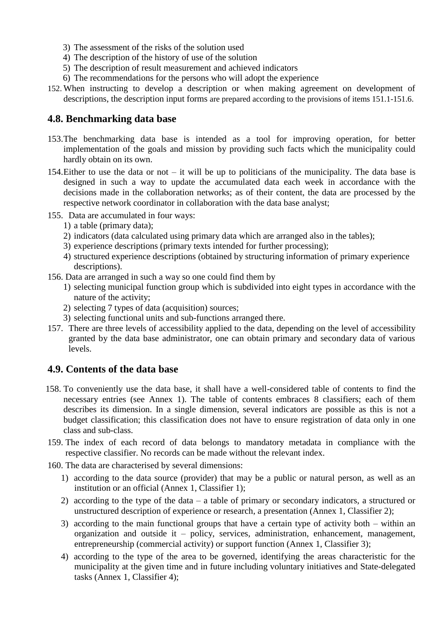- 3) The assessment of the risks of the solution used
- 4) The description of the history of use of the solution
- 5) The description of result measurement and achieved indicators
- 6) The recommendations for the persons who will adopt the experience
- 152. When instructing to develop a description or when making agreement on development of descriptions, the description input forms are prepared according to the provisions of items 151.1-151.6.

#### <span id="page-25-0"></span>**4.8. Benchmarking data base**

- 153.The benchmarking data base is intended as a tool for improving operation, for better implementation of the goals and mission by providing such facts which the municipality could hardly obtain on its own.
- 154.Either to use the data or not it will be up to politicians of the municipality. The data base is designed in such a way to update the accumulated data each week in accordance with the decisions made in the collaboration networks; as of their content, the data are processed by the respective network coordinator in collaboration with the data base analyst;
- 155. Data are accumulated in four ways:
	- 1) a table (primary data);
	- 2) indicators (data calculated using primary data which are arranged also in the tables);
	- 3) experience descriptions (primary texts intended for further processing);
	- 4) structured experience descriptions (obtained by structuring information of primary experience descriptions).
- 156. Data are arranged in such a way so one could find them by
	- 1) selecting municipal function group which is subdivided into eight types in accordance with the nature of the activity;
	- 2) selecting 7 types of data (acquisition) sources;
	- 3) selecting functional units and sub-functions arranged there.
- 157. There are three levels of accessibility applied to the data, depending on the level of accessibility granted by the data base administrator, one can obtain primary and secondary data of various levels.

#### <span id="page-25-1"></span>**4.9. Contents of the data base**

- 158. To conveniently use the data base, it shall have a well-considered table of contents to find the necessary entries (see Annex 1). The table of contents embraces 8 classifiers; each of them describes its dimension. In a single dimension, several indicators are possible as this is not a budget classification; this classification does not have to ensure registration of data only in one class and sub-class.
- 159. The index of each record of data belongs to mandatory metadata in compliance with the respective classifier. No records can be made without the relevant index.
- 160. The data are characterised by several dimensions:
	- 1) according to the data source (provider) that may be a public or natural person, as well as an institution or an official (Annex 1, Classifier 1);
	- 2) according to the type of the data a table of primary or secondary indicators, a structured or unstructured description of experience or research, a presentation (Annex 1, Classifier 2);
	- 3) according to the main functional groups that have a certain type of activity both within an organization and outside it – policy, services, administration, enhancement, management, entrepreneurship (commercial activity) or support function (Annex 1, Classifier 3);
	- 4) according to the type of the area to be governed, identifying the areas characteristic for the municipality at the given time and in future including voluntary initiatives and State-delegated tasks (Annex 1, Classifier 4);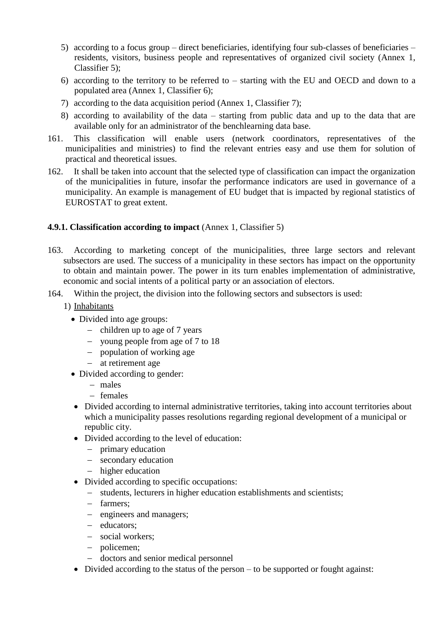- 5) according to a focus group direct beneficiaries, identifying four sub-classes of beneficiaries residents, visitors, business people and representatives of organized civil society (Annex 1, Classifier 5);
- 6) according to the territory to be referred to starting with the EU and OECD and down to a populated area (Annex 1, Classifier 6);
- 7) according to the data acquisition period (Annex 1, Classifier 7);
- 8) according to availability of the data starting from public data and up to the data that are available only for an administrator of the benchlearning data base.
- 161. This classification will enable users (network coordinators, representatives of the municipalities and ministries) to find the relevant entries easy and use them for solution of practical and theoretical issues.
- 162. It shall be taken into account that the selected type of classification can impact the organization of the municipalities in future, insofar the performance indicators are used in governance of a municipality. An example is management of EU budget that is impacted by regional statistics of EUROSTAT to great extent.

#### <span id="page-26-0"></span>**4.9.1. Classification according to impact** (Annex 1, Classifier 5)

- 163. According to marketing concept of the municipalities, three large sectors and relevant subsectors are used. The success of a municipality in these sectors has impact on the opportunity to obtain and maintain power. The power in its turn enables implementation of administrative, economic and social intents of a political party or an association of electors.
- 164. Within the project, the division into the following sectors and subsectors is used:
	- 1) Inhabitants
		- Divided into age groups:
			- $-$  children up to age of 7 years
			- young people from age of 7 to 18
			- population of working age
			- at retirement age
		- Divided according to gender:
			- males
			- $-$  females
		- Divided according to internal administrative territories, taking into account territories about which a municipality passes resolutions regarding regional development of a municipal or republic city.
		- Divided according to the level of education:
			- primary education
			- secondary education
			- higher education
		- Divided according to specific occupations:
			- students, lecturers in higher education establishments and scientists;
			- farmers;
			- engineers and managers;
			- educators;
			- social workers;
			- policemen;
			- doctors and senior medical personnel
		- Divided according to the status of the person to be supported or fought against: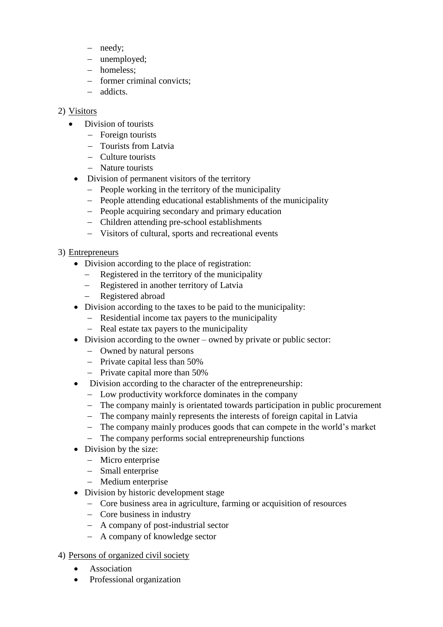- needy;
- unemployed;
- homeless;
- former criminal convicts;
- addicts.

#### 2) Visitors

- Division of tourists
	- Foreign tourists
	- Tourists from Latvia
	- Culture tourists
	- Nature tourists
	- Division of permanent visitors of the territory
		- People working in the territory of the municipality
		- People attending educational establishments of the municipality
		- People acquiring secondary and primary education
		- Children attending pre-school establishments
		- Visitors of cultural, sports and recreational events

#### 3) Entrepreneurs

- Division according to the place of registration:
	- Registered in the territory of the municipality
	- Registered in another territory of Latvia
	- Registered abroad
- Division according to the taxes to be paid to the municipality:
	- Residential income tax payers to the municipality
	- Real estate tax payers to the municipality
- Division according to the owner owned by private or public sector:
	- Owned by natural persons
	- Private capital less than 50%
	- $-$  Private capital more than 50%
- Division according to the character of the entrepreneurship:
	- Low productivity workforce dominates in the company
	- The company mainly is orientated towards participation in public procurement
	- The company mainly represents the interests of foreign capital in Latvia
	- The company mainly produces goods that can compete in the world's market
	- The company performs social entrepreneurship functions
- Division by the size:
	- Micro enterprise
	- Small enterprise
	- Medium enterprise
- Division by historic development stage
	- Core business area in agriculture, farming or acquisition of resources
	- Core business in industry
	- A company of post-industrial sector
	- A company of knowledge sector

#### 4) Persons of organized civil society

- Association
- Professional organization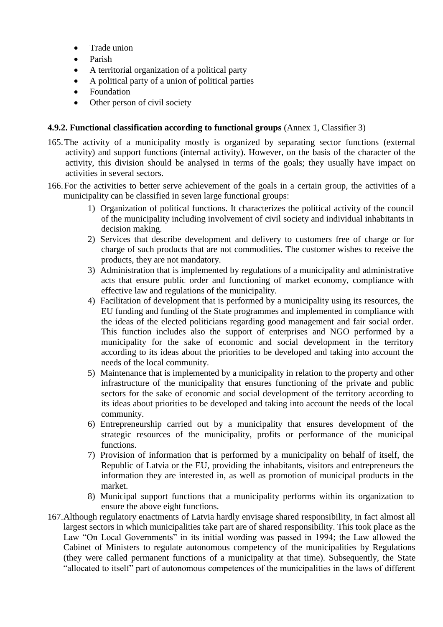- Trade union
- Parish
- A territorial organization of a political party
- A political party of a union of political parties
- Foundation
- Other person of civil society

#### <span id="page-28-0"></span>**4.9.2. Functional classification according to functional groups** (Annex 1, Classifier 3)

- 165.The activity of a municipality mostly is organized by separating sector functions (external activity) and support functions (internal activity). However, on the basis of the character of the activity, this division should be analysed in terms of the goals; they usually have impact on activities in several sectors.
- 166.For the activities to better serve achievement of the goals in a certain group, the activities of a municipality can be classified in seven large functional groups:
	- 1) Organization of political functions. It characterizes the political activity of the council of the municipality including involvement of civil society and individual inhabitants in decision making.
	- 2) Services that describe development and delivery to customers free of charge or for charge of such products that are not commodities. The customer wishes to receive the products, they are not mandatory.
	- 3) Administration that is implemented by regulations of a municipality and administrative acts that ensure public order and functioning of market economy, compliance with effective law and regulations of the municipality.
	- 4) Facilitation of development that is performed by a municipality using its resources, the EU funding and funding of the State programmes and implemented in compliance with the ideas of the elected politicians regarding good management and fair social order. This function includes also the support of enterprises and NGO performed by a municipality for the sake of economic and social development in the territory according to its ideas about the priorities to be developed and taking into account the needs of the local community.
	- 5) Maintenance that is implemented by a municipality in relation to the property and other infrastructure of the municipality that ensures functioning of the private and public sectors for the sake of economic and social development of the territory according to its ideas about priorities to be developed and taking into account the needs of the local community.
	- 6) Entrepreneurship carried out by a municipality that ensures development of the strategic resources of the municipality, profits or performance of the municipal functions.
	- 7) Provision of information that is performed by a municipality on behalf of itself, the Republic of Latvia or the EU, providing the inhabitants, visitors and entrepreneurs the information they are interested in, as well as promotion of municipal products in the market.
	- 8) Municipal support functions that a municipality performs within its organization to ensure the above eight functions.
- 167.Although regulatory enactments of Latvia hardly envisage shared responsibility, in fact almost all largest sectors in which municipalities take part are of shared responsibility. This took place as the Law "On Local Governments" in its initial wording was passed in 1994; the Law allowed the Cabinet of Ministers to regulate autonomous competency of the municipalities by Regulations (they were called permanent functions of a municipality at that time). Subsequently, the State "allocated to itself" part of autonomous competences of the municipalities in the laws of different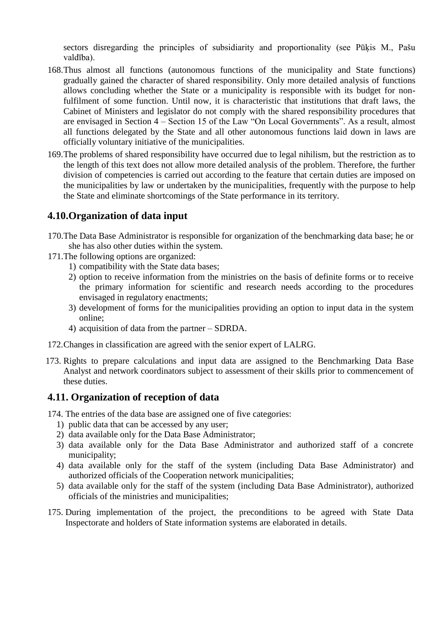sectors disregarding the principles of subsidiarity and proportionality (see Pūķis M., Pašu valdība).

- 168.Thus almost all functions (autonomous functions of the municipality and State functions) gradually gained the character of shared responsibility. Only more detailed analysis of functions allows concluding whether the State or a municipality is responsible with its budget for nonfulfilment of some function. Until now, it is characteristic that institutions that draft laws, the Cabinet of Ministers and legislator do not comply with the shared responsibility procedures that are envisaged in Section 4 – Section 15 of the Law "On Local Governments". As a result, almost all functions delegated by the State and all other autonomous functions laid down in laws are officially voluntary initiative of the municipalities.
- 169.The problems of shared responsibility have occurred due to legal nihilism, but the restriction as to the length of this text does not allow more detailed analysis of the problem. Therefore, the further division of competencies is carried out according to the feature that certain duties are imposed on the municipalities by law or undertaken by the municipalities, frequently with the purpose to help the State and eliminate shortcomings of the State performance in its territory.

#### <span id="page-29-0"></span>**4.10.Organization of data input**

- 170.The Data Base Administrator is responsible for organization of the benchmarking data base; he or she has also other duties within the system.
- 171.The following options are organized:
	- 1) compatibility with the State data bases;
	- 2) option to receive information from the ministries on the basis of definite forms or to receive the primary information for scientific and research needs according to the procedures envisaged in regulatory enactments;
	- 3) development of forms for the municipalities providing an option to input data in the system online;
	- 4) acquisition of data from the partner SDRDA.
- 172.Changes in classification are agreed with the senior expert of LALRG.
- 173. Rights to prepare calculations and input data are assigned to the Benchmarking Data Base Analyst and network coordinators subject to assessment of their skills prior to commencement of these duties.

#### <span id="page-29-1"></span>**4.11. Organization of reception of data**

174. The entries of the data base are assigned one of five categories:

- 1) public data that can be accessed by any user;
- 2) data available only for the Data Base Administrator;
- 3) data available only for the Data Base Administrator and authorized staff of a concrete municipality;
- 4) data available only for the staff of the system (including Data Base Administrator) and authorized officials of the Cooperation network municipalities;
- 5) data available only for the staff of the system (including Data Base Administrator), authorized officials of the ministries and municipalities;
- 175. During implementation of the project, the preconditions to be agreed with State Data Inspectorate and holders of State information systems are elaborated in details.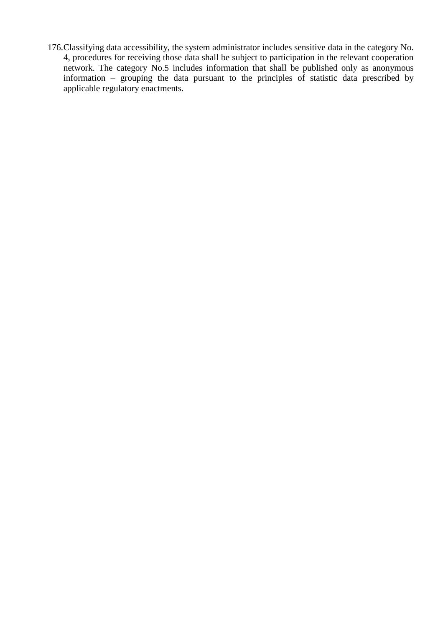176.Classifying data accessibility, the system administrator includes sensitive data in the category No. 4, procedures for receiving those data shall be subject to participation in the relevant cooperation network. The category No.5 includes information that shall be published only as anonymous information – grouping the data pursuant to the principles of statistic data prescribed by applicable regulatory enactments.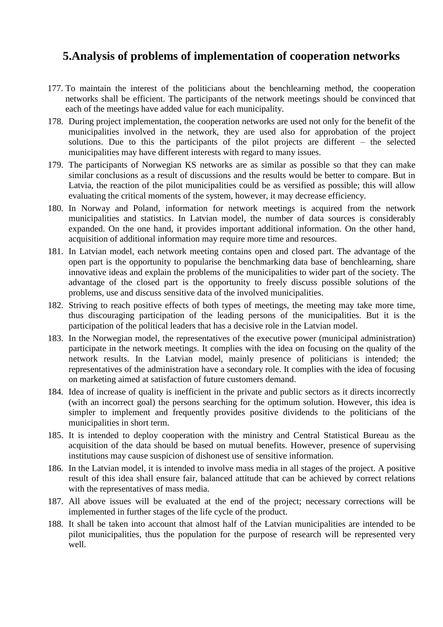### <span id="page-31-0"></span>**5.Analysis of problems of implementation of cooperation networks**

- 177. To maintain the interest of the politicians about the benchlearning method, the cooperation networks shall be efficient. The participants of the network meetings should be convinced that each of the meetings have added value for each municipality.
- 178. During project implementation, the cooperation networks are used not only for the benefit of the municipalities involved in the network, they are used also for approbation of the project solutions. Due to this the participants of the pilot projects are different – the selected municipalities may have different interests with regard to many issues.
- 179. The participants of Norwegian KS networks are as similar as possible so that they can make similar conclusions as a result of discussions and the results would be better to compare. But in Latvia, the reaction of the pilot municipalities could be as versified as possible; this will allow evaluating the critical moments of the system, however, it may decrease efficiency.
- 180. In Norway and Poland, information for network meetings is acquired from the network municipalities and statistics. In Latvian model, the number of data sources is considerably expanded. On the one hand, it provides important additional information. On the other hand, acquisition of additional information may require more time and resources.
- 181. In Latvian model, each network meeting contains open and closed part. The advantage of the open part is the opportunity to popularise the benchmarking data base of benchlearning, share innovative ideas and explain the problems of the municipalities to wider part of the society. The advantage of the closed part is the opportunity to freely discuss possible solutions of the problems, use and discuss sensitive data of the involved municipalities.
- 182. Striving to reach positive effects of both types of meetings, the meeting may take more time, thus discouraging participation of the leading persons of the municipalities. But it is the participation of the political leaders that has a decisive role in the Latvian model.
- 183. In the Norwegian model, the representatives of the executive power (municipal administration) participate in the network meetings. It complies with the idea on focusing on the quality of the network results. In the Latvian model, mainly presence of politicians is intended; the representatives of the administration have a secondary role. It complies with the idea of focusing on marketing aimed at satisfaction of future customers demand.
- 184. Idea of increase of quality is inefficient in the private and public sectors as it directs incorrectly (with an incorrect goal) the persons searching for the optimum solution. However, this idea is simpler to implement and frequently provides positive dividends to the politicians of the municipalities in short term.
- 185. It is intended to deploy cooperation with the ministry and Central Statistical Bureau as the acquisition of the data should be based on mutual benefits. However, presence of supervising institutions may cause suspicion of dishonest use of sensitive information.
- 186. In the Latvian model, it is intended to involve mass media in all stages of the project. A positive result of this idea shall ensure fair, balanced attitude that can be achieved by correct relations with the representatives of mass media.
- 187. All above issues will be evaluated at the end of the project; necessary corrections will be implemented in further stages of the life cycle of the product.
- 188. It shall be taken into account that almost half of the Latvian municipalities are intended to be pilot municipalities, thus the population for the purpose of research will be represented very well.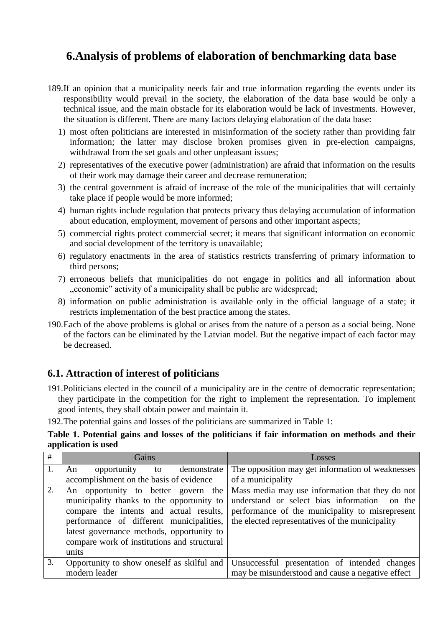### <span id="page-32-0"></span>**6.Analysis of problems of elaboration of benchmarking data base**

- 189.If an opinion that a municipality needs fair and true information regarding the events under its responsibility would prevail in the society, the elaboration of the data base would be only a technical issue, and the main obstacle for its elaboration would be lack of investments. However, the situation is different. There are many factors delaying elaboration of the data base:
	- 1) most often politicians are interested in misinformation of the society rather than providing fair information; the latter may disclose broken promises given in pre-election campaigns, withdrawal from the set goals and other unpleasant issues;
	- 2) representatives of the executive power (administration) are afraid that information on the results of their work may damage their career and decrease remuneration;
	- 3) the central government is afraid of increase of the role of the municipalities that will certainly take place if people would be more informed;
	- 4) human rights include regulation that protects privacy thus delaying accumulation of information about education, employment, movement of persons and other important aspects;
	- 5) commercial rights protect commercial secret; it means that significant information on economic and social development of the territory is unavailable;
	- 6) regulatory enactments in the area of statistics restricts transferring of primary information to third persons;
	- 7) erroneous beliefs that municipalities do not engage in politics and all information about "economic" activity of a municipality shall be public are widespread;
	- 8) information on public administration is available only in the official language of a state; it restricts implementation of the best practice among the states.
- 190.Each of the above problems is global or arises from the nature of a person as a social being. None of the factors can be eliminated by the Latvian model. But the negative impact of each factor may be decreased.

#### <span id="page-32-1"></span>**6.1. Attraction of interest of politicians**

191.Politicians elected in the council of a municipality are in the centre of democratic representation; they participate in the competition for the right to implement the representation. To implement good intents, they shall obtain power and maintain it.

192.The potential gains and losses of the politicians are summarized in Table 1:

**Table 1. Potential gains and losses of the politicians if fair information on methods and their application is used**

| #  | Gains                                                                                                                                                                                                                                                                        | Losses                                                                                                                                                                                                   |
|----|------------------------------------------------------------------------------------------------------------------------------------------------------------------------------------------------------------------------------------------------------------------------------|----------------------------------------------------------------------------------------------------------------------------------------------------------------------------------------------------------|
| 1. | opportunity<br>demonstrate<br>An<br>to                                                                                                                                                                                                                                       | The opposition may get information of weaknesses                                                                                                                                                         |
|    | accomplishment on the basis of evidence                                                                                                                                                                                                                                      | of a municipality                                                                                                                                                                                        |
| 2. | An opportunity to better govern the<br>municipality thanks to the opportunity to<br>compare the intents and actual results,<br>performance of different municipalities,<br>latest governance methods, opportunity to<br>compare work of institutions and structural<br>units | Mass media may use information that they do not<br>understand or select bias information<br>on the<br>performance of the municipality to misrepresent<br>the elected representatives of the municipality |
| 3. | Opportunity to show oneself as skilful and<br>modern leader                                                                                                                                                                                                                  | Unsuccessful presentation of intended changes<br>may be misunderstood and cause a negative effect                                                                                                        |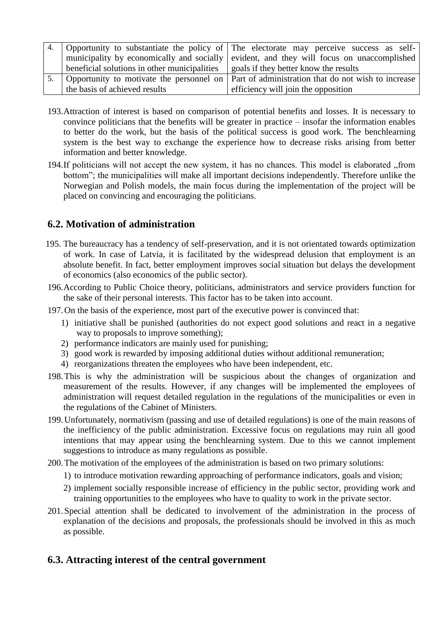|                                              | 4. Opportunity to substantiate the policy of The electorate may perceive success as self-      |  |
|----------------------------------------------|------------------------------------------------------------------------------------------------|--|
|                                              | municipality by economically and socially evident, and they will focus on unaccomplished       |  |
| beneficial solutions in other municipalities | goals if they better know the results                                                          |  |
|                                              | Opportunity to motivate the personnel on   Part of administration that do not wish to increase |  |
| the basis of achieved results                | efficiency will join the opposition                                                            |  |

- 193.Attraction of interest is based on comparison of potential benefits and losses. It is necessary to convince politicians that the benefits will be greater in practice – insofar the information enables to better do the work, but the basis of the political success is good work. The benchlearning system is the best way to exchange the experience how to decrease risks arising from better information and better knowledge.
- 194.If politicians will not accept the new system, it has no chances. This model is elaborated "from bottom"; the municipalities will make all important decisions independently. Therefore unlike the Norwegian and Polish models, the main focus during the implementation of the project will be placed on convincing and encouraging the politicians.

#### <span id="page-33-0"></span>**6.2. Motivation of administration**

- 195. The bureaucracy has a tendency of self-preservation, and it is not orientated towards optimization of work. In case of Latvia, it is facilitated by the widespread delusion that employment is an absolute benefit. In fact, better employment improves social situation but delays the development of economics (also economics of the public sector).
- 196.According to Public Choice theory, politicians, administrators and service providers function for the sake of their personal interests. This factor has to be taken into account.
- 197.On the basis of the experience, most part of the executive power is convinced that:
	- 1) initiative shall be punished (authorities do not expect good solutions and react in a negative way to proposals to improve something);
	- 2) performance indicators are mainly used for punishing;
	- 3) good work is rewarded by imposing additional duties without additional remuneration;
	- 4) reorganizations threaten the employees who have been independent, etc.
- 198.This is why the administration will be suspicious about the changes of organization and measurement of the results. However, if any changes will be implemented the employees of administration will request detailed regulation in the regulations of the municipalities or even in the regulations of the Cabinet of Ministers.
- 199.Unfortunately, normativism (passing and use of detailed regulations) is one of the main reasons of the inefficiency of the public administration. Excessive focus on regulations may ruin all good intentions that may appear using the benchlearning system. Due to this we cannot implement suggestions to introduce as many regulations as possible.
- 200.The motivation of the employees of the administration is based on two primary solutions:
	- 1) to introduce motivation rewarding approaching of performance indicators, goals and vision;
	- 2) implement socially responsible increase of efficiency in the public sector, providing work and training opportunities to the employees who have to quality to work in the private sector.
- 201.Special attention shall be dedicated to involvement of the administration in the process of explanation of the decisions and proposals, the professionals should be involved in this as much as possible.

#### <span id="page-33-1"></span>**6.3. Attracting interest of the central government**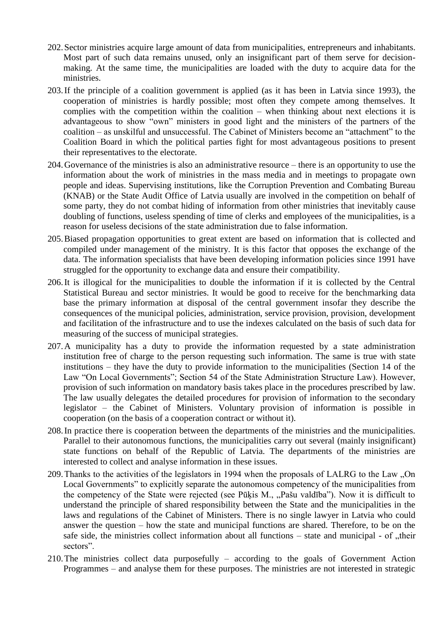- 202.Sector ministries acquire large amount of data from municipalities, entrepreneurs and inhabitants. Most part of such data remains unused, only an insignificant part of them serve for decisionmaking. At the same time, the municipalities are loaded with the duty to acquire data for the ministries.
- 203.If the principle of a coalition government is applied (as it has been in Latvia since 1993), the cooperation of ministries is hardly possible; most often they compete among themselves. It complies with the competition within the coalition – when thinking about next elections it is advantageous to show "own" ministers in good light and the ministers of the partners of the coalition – as unskilful and unsuccessful. The Cabinet of Ministers become an "attachment" to the Coalition Board in which the political parties fight for most advantageous positions to present their representatives to the electorate.
- 204.Governance of the ministries is also an administrative resource there is an opportunity to use the information about the work of ministries in the mass media and in meetings to propagate own people and ideas. Supervising institutions, like the Corruption Prevention and Combating Bureau (KNAB) or the State Audit Office of Latvia usually are involved in the competition on behalf of some party, they do not combat hiding of information from other ministries that inevitably cause doubling of functions, useless spending of time of clerks and employees of the municipalities, is a reason for useless decisions of the state administration due to false information.
- 205.Biased propagation opportunities to great extent are based on information that is collected and compiled under management of the ministry. It is this factor that opposes the exchange of the data. The information specialists that have been developing information policies since 1991 have struggled for the opportunity to exchange data and ensure their compatibility.
- 206.It is illogical for the municipalities to double the information if it is collected by the Central Statistical Bureau and sector ministries. It would be good to receive for the benchmarking data base the primary information at disposal of the central government insofar they describe the consequences of the municipal policies, administration, service provision, provision, development and facilitation of the infrastructure and to use the indexes calculated on the basis of such data for measuring of the success of municipal strategies.
- 207.A municipality has a duty to provide the information requested by a state administration institution free of charge to the person requesting such information. The same is true with state institutions – they have the duty to provide information to the municipalities (Section 14 of the Law "On Local Governments"; Section 54 of the State Administration Structure Law). However, provision of such information on mandatory basis takes place in the procedures prescribed by law. The law usually delegates the detailed procedures for provision of information to the secondary legislator – the Cabinet of Ministers. Voluntary provision of information is possible in cooperation (on the basis of a cooperation contract or without it).
- 208.In practice there is cooperation between the departments of the ministries and the municipalities. Parallel to their autonomous functions, the municipalities carry out several (mainly insignificant) state functions on behalf of the Republic of Latvia. The departments of the ministries are interested to collect and analyse information in these issues.
- 209. Thanks to the activities of the legislators in 1994 when the proposals of LALRG to the Law "On Local Governments" to explicitly separate the autonomous competency of the municipalities from the competency of the State were rejected (see Pūkis M., "Pašu valdība"). Now it is difficult to understand the principle of shared responsibility between the State and the municipalities in the laws and regulations of the Cabinet of Ministers. There is no single lawyer in Latvia who could answer the question – how the state and municipal functions are shared. Therefore, to be on the safe side, the ministries collect information about all functions  $-$  state and municipal  $-$  of  $\mu$ their sectors".
- 210.The ministries collect data purposefully according to the goals of Government Action Programmes – and analyse them for these purposes. The ministries are not interested in strategic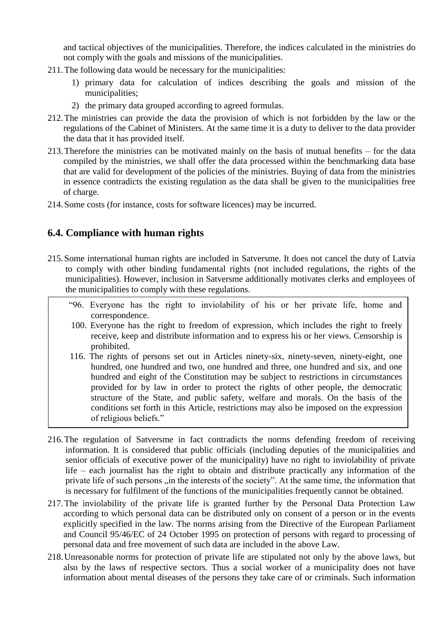and tactical objectives of the municipalities. Therefore, the indices calculated in the ministries do not comply with the goals and missions of the municipalities.

- 211.The following data would be necessary for the municipalities:
	- 1) primary data for calculation of indices describing the goals and mission of the municipalities;
	- 2) the primary data grouped according to agreed formulas.
- 212.The ministries can provide the data the provision of which is not forbidden by the law or the regulations of the Cabinet of Ministers. At the same time it is a duty to deliver to the data provider the data that it has provided itself.
- 213.Therefore the ministries can be motivated mainly on the basis of mutual benefits for the data compiled by the ministries, we shall offer the data processed within the benchmarking data base that are valid for development of the policies of the ministries. Buying of data from the ministries in essence contradicts the existing regulation as the data shall be given to the municipalities free of charge.
- 214.Some costs (for instance, costs for software licences) may be incurred.

#### <span id="page-35-0"></span>**6.4. Compliance with human rights**

216.

- 215.Some international human rights are included in Satversme. It does not cancel the duty of Latvia to comply with other binding fundamental rights (not included regulations, the rights of the municipalities). However, inclusion in Satversme additionally motivates clerks and employees of the municipalities to comply with these regulations.
	- "96. Everyone has the right to inviolability of his or her private life, home and correspondence.
	- 100. Everyone has the right to freedom of expression, which includes the right to freely receive, keep and distribute information and to express his or her views. Censorship is prohibited.
	- 116. The rights of persons set out in Articles ninety-six, ninety-seven, ninety-eight, one hundred, one hundred and two, one hundred and three, one hundred and six, and one hundred and eight of the Constitution may be subject to restrictions in circumstances provided for by law in order to protect the rights of other people, the democratic structure of the State, and public safety, welfare and morals. On the basis of the conditions set forth in this Article, restrictions may also be imposed on the expression of religious beliefs."
- 216.The regulation of Satversme in fact contradicts the norms defending freedom of receiving information. It is considered that public officials (including deputies of the municipalities and senior officials of executive power of the municipality) have no right to inviolability of private life – each journalist has the right to obtain and distribute practically any information of the private life of such persons ,,in the interests of the society". At the same time, the information that is necessary for fulfilment of the functions of the municipalities frequently cannot be obtained.
- 217.The inviolability of the private life is granted further by the Personal Data Protection Law according to which personal data can be distributed only on consent of a person or in the events explicitly specified in the law. The norms arising from the Directive of the European Parliament and Council 95/46/EC of 24 October 1995 on protection of persons with regard to processing of personal data and free movement of such data are included in the above Law.
- 218.Unreasonable norms for protection of private life are stipulated not only by the above laws, but also by the laws of respective sectors. Thus a social worker of a municipality does not have information about mental diseases of the persons they take care of or criminals. Such information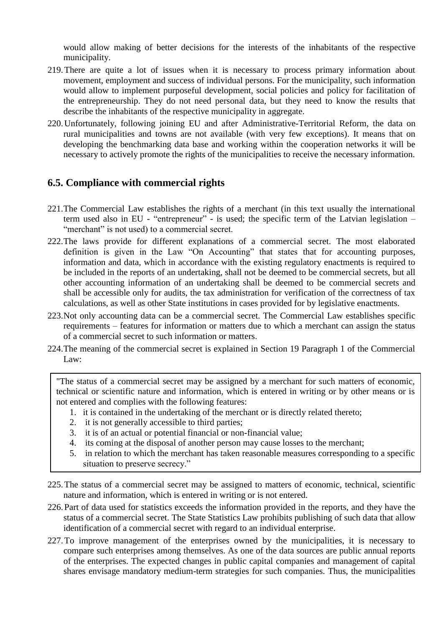would allow making of better decisions for the interests of the inhabitants of the respective municipality.

- 219.There are quite a lot of issues when it is necessary to process primary information about movement, employment and success of individual persons. For the municipality, such information would allow to implement purposeful development, social policies and policy for facilitation of the entrepreneurship. They do not need personal data, but they need to know the results that describe the inhabitants of the respective municipality in aggregate.
- 220.Unfortunately, following joining EU and after Administrative-Territorial Reform, the data on rural municipalities and towns are not available (with very few exceptions). It means that on developing the benchmarking data base and working within the cooperation networks it will be necessary to actively promote the rights of the municipalities to receive the necessary information.

#### <span id="page-36-0"></span>**6.5. Compliance with commercial rights**

- 221.The Commercial Law establishes the rights of a merchant (in this text usually the international term used also in EU - "entrepreneur" - is used; the specific term of the Latvian legislation – "merchant" is not used) to a commercial secret.
- 222.The laws provide for different explanations of a commercial secret. The most elaborated definition is given in the Law "On Accounting" that states that for accounting purposes, information and data, which in accordance with the existing regulatory enactments is required to be included in the reports of an undertaking, shall not be deemed to be commercial secrets, but all other accounting information of an undertaking shall be deemed to be commercial secrets and shall be accessible only for audits, the tax administration for verification of the correctness of tax calculations, as well as other State institutions in cases provided for by legislative enactments.
- 223.Not only accounting data can be a commercial secret. The Commercial Law establishes specific requirements – features for information or matters due to which a merchant can assign the status of a commercial secret to such information or matters.
- 224.The meaning of the commercial secret is explained in Section 19 Paragraph 1 of the Commercial Law:

"The status of a commercial secret may be assigned by a merchant for such matters of economic, technical or scientific nature and information, which is entered in writing or by other means or is not entered and complies with the following features:

- 1. it is contained in the undertaking of the merchant or is directly related thereto;
- 2. it is not generally accessible to third parties;
- 3. it is of an actual or potential financial or non-financial value;
- 4. its coming at the disposal of another person may cause losses to the merchant;
- 5. in relation to which the merchant has taken reasonable measures corresponding to a specific situation to preserve secrecy."
- 225.The status of a commercial secret may be assigned to matters of economic, technical, scientific nature and information, which is entered in writing or is not entered.
- 226.Part of data used for statistics exceeds the information provided in the reports, and they have the status of a commercial secret. The State Statistics Law prohibits publishing of such data that allow identification of a commercial secret with regard to an individual enterprise.
- 227.To improve management of the enterprises owned by the municipalities, it is necessary to compare such enterprises among themselves. As one of the data sources are public annual reports of the enterprises. The expected changes in public capital companies and management of capital shares envisage mandatory medium-term strategies for such companies. Thus, the municipalities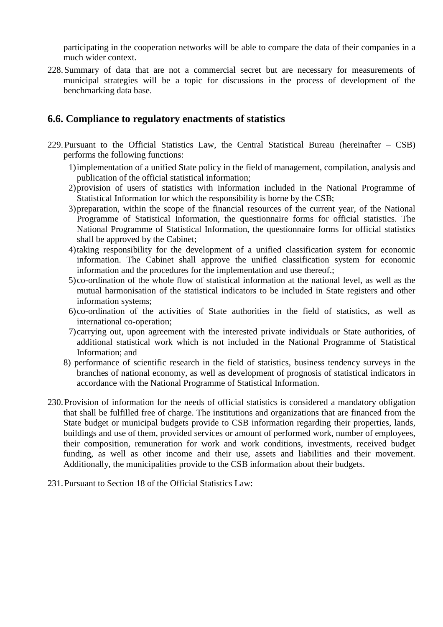participating in the cooperation networks will be able to compare the data of their companies in a much wider context.

228.Summary of data that are not a commercial secret but are necessary for measurements of municipal strategies will be a topic for discussions in the process of development of the benchmarking data base.

#### <span id="page-37-0"></span>**6.6. Compliance to regulatory enactments of statistics**

- 229.Pursuant to the Official Statistics Law, the Central Statistical Bureau (hereinafter CSB) performs the following functions:
	- 1)implementation of a unified State policy in the field of management, compilation, analysis and publication of the official statistical information;
	- 2)provision of users of statistics with information included in the National Programme of Statistical Information for which the responsibility is borne by the CSB;
	- 3)preparation, within the scope of the financial resources of the current year, of the National Programme of Statistical Information, the questionnaire forms for official statistics. The National Programme of Statistical Information, the questionnaire forms for official statistics shall be approved by the Cabinet;
	- 4)taking responsibility for the development of a unified classification system for economic information. The Cabinet shall approve the unified classification system for economic information and the procedures for the implementation and use thereof.;
	- 5)co-ordination of the whole flow of statistical information at the national level, as well as the mutual harmonisation of the statistical indicators to be included in State registers and other information systems;
	- 6)co-ordination of the activities of State authorities in the field of statistics, as well as international co-operation;
	- 7)carrying out, upon agreement with the interested private individuals or State authorities, of additional statistical work which is not included in the National Programme of Statistical Information; and
	- 8) performance of scientific research in the field of statistics, business tendency surveys in the branches of national economy, as well as development of prognosis of statistical indicators in accordance with the National Programme of Statistical Information.
- 230.Provision of information for the needs of official statistics is considered a mandatory obligation that shall be fulfilled free of charge. The institutions and organizations that are financed from the State budget or municipal budgets provide to CSB information regarding their properties, lands, buildings and use of them, provided services or amount of performed work, number of employees, their composition, remuneration for work and work conditions, investments, received budget funding, as well as other income and their use, assets and liabilities and their movement. Additionally, the municipalities provide to the CSB information about their budgets.
- 231.Pursuant to Section 18 of the Official Statistics Law: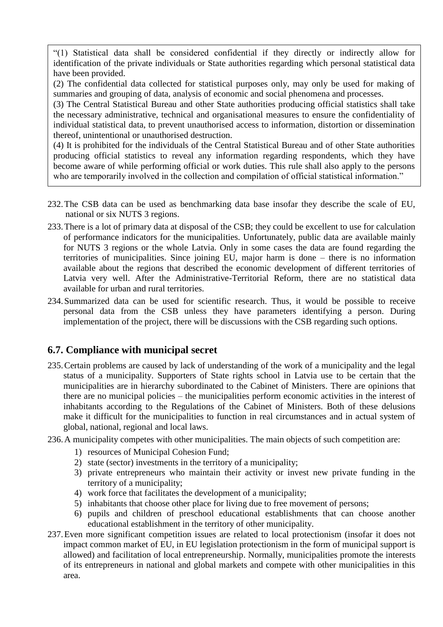232. "(1) Statistical data shall be considered confidential if they directly or indirectly allow for identification of the private individuals or State authorities regarding which personal statistical data have been provided.

(2) The confidential data collected for statistical purposes only, may only be used for making of summaries and grouping of data, analysis of economic and social phenomena and processes.

(3) The Central Statistical Bureau and other State authorities producing official statistics shall take the necessary administrative, technical and organisational measures to ensure the confidentiality of individual statistical data, to prevent unauthorised access to information, distortion or dissemination thereof, unintentional or unauthorised destruction.

(4) It is prohibited for the individuals of the Central Statistical Bureau and of other State authorities producing official statistics to reveal any information regarding respondents, which they have become aware of while performing official or work duties. This rule shall also apply to the persons who are temporarily involved in the collection and compilation of official statistical information."

- 232.The CSB data can be used as benchmarking data base insofar they describe the scale of EU, national or six NUTS 3 regions.
- 233.There is a lot of primary data at disposal of the CSB; they could be excellent to use for calculation of performance indicators for the municipalities. Unfortunately, public data are available mainly for NUTS 3 regions or the whole Latvia. Only in some cases the data are found regarding the territories of municipalities. Since joining EU, major harm is done – there is no information available about the regions that described the economic development of different territories of Latvia very well. After the Administrative-Territorial Reform, there are no statistical data available for urban and rural territories.
- 234.Summarized data can be used for scientific research. Thus, it would be possible to receive personal data from the CSB unless they have parameters identifying a person. During implementation of the project, there will be discussions with the CSB regarding such options.

#### <span id="page-38-0"></span>**6.7. Compliance with municipal secret**

- 235.Certain problems are caused by lack of understanding of the work of a municipality and the legal status of a municipality. Supporters of State rights school in Latvia use to be certain that the municipalities are in hierarchy subordinated to the Cabinet of Ministers. There are opinions that there are no municipal policies – the municipalities perform economic activities in the interest of inhabitants according to the Regulations of the Cabinet of Ministers. Both of these delusions make it difficult for the municipalities to function in real circumstances and in actual system of global, national, regional and local laws.
- 236.A municipality competes with other municipalities. The main objects of such competition are:
	- 1) resources of Municipal Cohesion Fund;
	- 2) state (sector) investments in the territory of a municipality;
	- 3) private entrepreneurs who maintain their activity or invest new private funding in the territory of a municipality;
	- 4) work force that facilitates the development of a municipality;
	- 5) inhabitants that choose other place for living due to free movement of persons;
	- 6) pupils and children of preschool educational establishments that can choose another educational establishment in the territory of other municipality.
- 237.Even more significant competition issues are related to local protectionism (insofar it does not impact common market of EU, in EU legislation protectionism in the form of municipal support is allowed) and facilitation of local entrepreneurship. Normally, municipalities promote the interests of its entrepreneurs in national and global markets and compete with other municipalities in this area.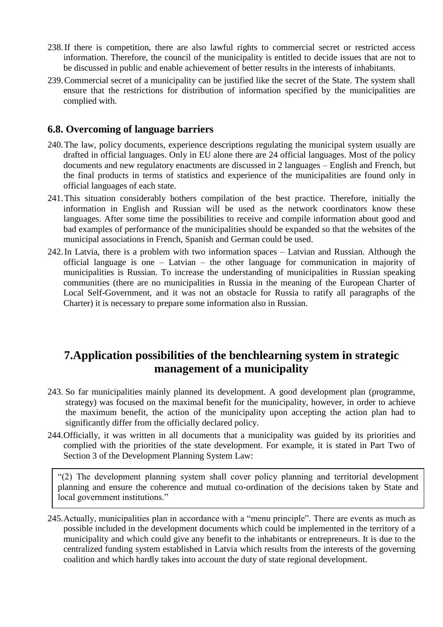- 238.If there is competition, there are also lawful rights to commercial secret or restricted access information. Therefore, the council of the municipality is entitled to decide issues that are not to be discussed in public and enable achievement of better results in the interests of inhabitants.
- 239.Commercial secret of a municipality can be justified like the secret of the State. The system shall ensure that the restrictions for distribution of information specified by the municipalities are complied with.

#### <span id="page-39-0"></span>**6.8. Overcoming of language barriers**

- 240.The law, policy documents, experience descriptions regulating the municipal system usually are drafted in official languages. Only in EU alone there are 24 official languages. Most of the policy documents and new regulatory enactments are discussed in 2 languages – English and French, but the final products in terms of statistics and experience of the municipalities are found only in official languages of each state.
- 241.This situation considerably bothers compilation of the best practice. Therefore, initially the information in English and Russian will be used as the network coordinators know these languages. After some time the possibilities to receive and compile information about good and bad examples of performance of the municipalities should be expanded so that the websites of the municipal associations in French, Spanish and German could be used.
- 242.In Latvia, there is a problem with two information spaces Latvian and Russian. Although the official language is one – Latvian – the other language for communication in majority of municipalities is Russian. To increase the understanding of municipalities in Russian speaking communities (there are no municipalities in Russia in the meaning of the European Charter of Local Self-Government, and it was not an obstacle for Russia to ratify all paragraphs of the Charter) it is necessary to prepare some information also in Russian.

### <span id="page-39-1"></span>**7.Application possibilities of the benchlearning system in strategic management of a municipality**

- 243. So far municipalities mainly planned its development. A good development plan (programme, strategy) was focused on the maximal benefit for the municipality, however, in order to achieve the maximum benefit, the action of the municipality upon accepting the action plan had to significantly differ from the officially declared policy.
- 244.Officially, it was written in all documents that a municipality was guided by its priorities and complied with the priorities of the state development. For example, it is stated in Part Two of Section 3 of the Development Planning System Law:

"(2) The development planning system shall cover policy planning and territorial development planning and ensure the coherence and mutual co-ordination of the decisions taken by State and local government institutions."

245.Actually, municipalities plan in accordance with a "menu principle". There are events as much as possible included in the development documents which could be implemented in the territory of a municipality and which could give any benefit to the inhabitants or entrepreneurs. It is due to the centralized funding system established in Latvia which results from the interests of the governing coalition and which hardly takes into account the duty of state regional development.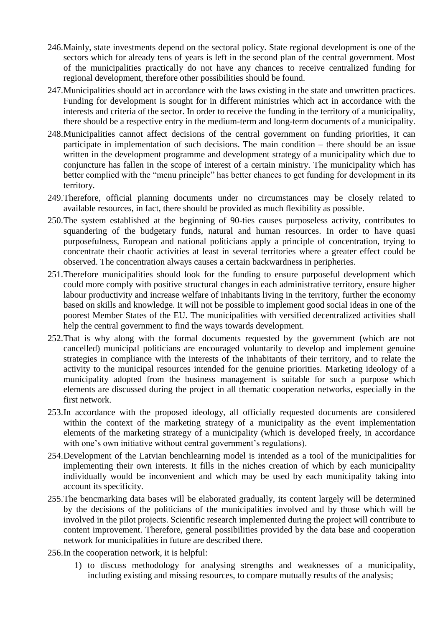- 246.Mainly, state investments depend on the sectoral policy. State regional development is one of the sectors which for already tens of years is left in the second plan of the central government. Most of the municipalities practically do not have any chances to receive centralized funding for regional development, therefore other possibilities should be found.
- 247.Municipalities should act in accordance with the laws existing in the state and unwritten practices. Funding for development is sought for in different ministries which act in accordance with the interests and criteria of the sector. In order to receive the funding in the territory of a municipality, there should be a respective entry in the medium-term and long-term documents of a municipality.
- 248.Municipalities cannot affect decisions of the central government on funding priorities, it can participate in implementation of such decisions. The main condition – there should be an issue written in the development programme and development strategy of a municipality which due to conjuncture has fallen in the scope of interest of a certain ministry. The municipality which has better complied with the "menu principle" has better chances to get funding for development in its territory.
- 249.Therefore, official planning documents under no circumstances may be closely related to available resources, in fact, there should be provided as much flexibility as possible.
- 250.The system established at the beginning of 90-ties causes purposeless activity, contributes to squandering of the budgetary funds, natural and human resources. In order to have quasi purposefulness, European and national politicians apply a principle of concentration, trying to concentrate their chaotic activities at least in several territories where a greater effect could be observed. The concentration always causes a certain backwardness in peripheries.
- 251.Therefore municipalities should look for the funding to ensure purposeful development which could more comply with positive structural changes in each administrative territory, ensure higher labour productivity and increase welfare of inhabitants living in the territory, further the economy based on skills and knowledge. It will not be possible to implement good social ideas in one of the poorest Member States of the EU. The municipalities with versified decentralized activities shall help the central government to find the ways towards development.
- 252.That is why along with the formal documents requested by the government (which are not cancelled) municipal politicians are encouraged voluntarily to develop and implement genuine strategies in compliance with the interests of the inhabitants of their territory, and to relate the activity to the municipal resources intended for the genuine priorities. Marketing ideology of a municipality adopted from the business management is suitable for such a purpose which elements are discussed during the project in all thematic cooperation networks, especially in the first network.
- 253.In accordance with the proposed ideology, all officially requested documents are considered within the context of the marketing strategy of a municipality as the event implementation elements of the marketing strategy of a municipality (which is developed freely, in accordance with one's own initiative without central government's regulations).
- 254.Development of the Latvian benchlearning model is intended as a tool of the municipalities for implementing their own interests. It fills in the niches creation of which by each municipality individually would be inconvenient and which may be used by each municipality taking into account its specificity.
- 255.The bencmarking data bases will be elaborated gradually, its content largely will be determined by the decisions of the politicians of the municipalities involved and by those which will be involved in the pilot projects. Scientific research implemented during the project will contribute to content improvement. Therefore, general possibilities provided by the data base and cooperation network for municipalities in future are described there.
- 256.In the cooperation network, it is helpful:
	- 1) to discuss methodology for analysing strengths and weaknesses of a municipality, including existing and missing resources, to compare mutually results of the analysis;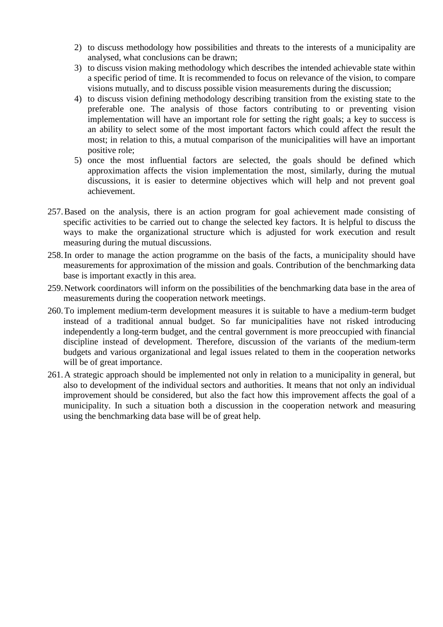- 2) to discuss methodology how possibilities and threats to the interests of a municipality are analysed, what conclusions can be drawn;
- 3) to discuss vision making methodology which describes the intended achievable state within a specific period of time. It is recommended to focus on relevance of the vision, to compare visions mutually, and to discuss possible vision measurements during the discussion;
- 4) to discuss vision defining methodology describing transition from the existing state to the preferable one. The analysis of those factors contributing to or preventing vision implementation will have an important role for setting the right goals; a key to success is an ability to select some of the most important factors which could affect the result the most; in relation to this, a mutual comparison of the municipalities will have an important positive role;
- 5) once the most influential factors are selected, the goals should be defined which approximation affects the vision implementation the most, similarly, during the mutual discussions, it is easier to determine objectives which will help and not prevent goal achievement.
- 257.Based on the analysis, there is an action program for goal achievement made consisting of specific activities to be carried out to change the selected key factors. It is helpful to discuss the ways to make the organizational structure which is adjusted for work execution and result measuring during the mutual discussions.
- 258.In order to manage the action programme on the basis of the facts, a municipality should have measurements for approximation of the mission and goals. Contribution of the benchmarking data base is important exactly in this area.
- 259.Network coordinators will inform on the possibilities of the benchmarking data base in the area of measurements during the cooperation network meetings.
- 260.To implement medium-term development measures it is suitable to have a medium-term budget instead of a traditional annual budget. So far municipalities have not risked introducing independently a long-term budget, and the central government is more preoccupied with financial discipline instead of development. Therefore, discussion of the variants of the medium-term budgets and various organizational and legal issues related to them in the cooperation networks will be of great importance.
- <span id="page-41-0"></span>261.A strategic approach should be implemented not only in relation to a municipality in general, but also to development of the individual sectors and authorities. It means that not only an individual improvement should be considered, but also the fact how this improvement affects the goal of a municipality. In such a situation both a discussion in the cooperation network and measuring using the benchmarking data base will be of great help.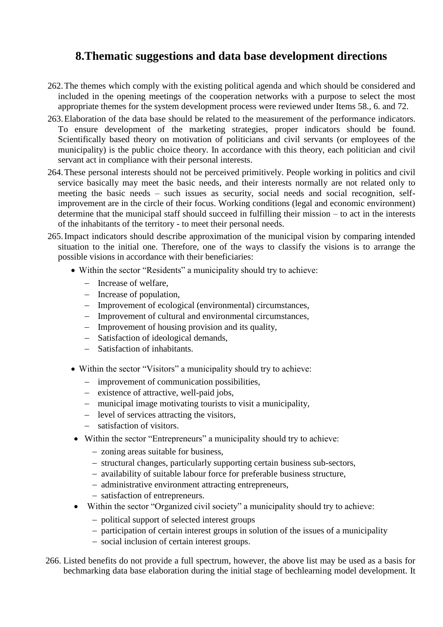### **8.Thematic suggestions and data base development directions**

- 262.The themes which comply with the existing political agenda and which should be considered and included in the opening meetings of the cooperation networks with a purpose to select the most appropriate themes for the system development process were reviewed under Items 58., 6. and 72.
- 263.Elaboration of the data base should be related to the measurement of the performance indicators. To ensure development of the marketing strategies, proper indicators should be found. Scientifically based theory on motivation of politicians and civil servants (or employees of the municipality) is the public choice theory. In accordance with this theory, each politician and civil servant act in compliance with their personal interests.
- 264.These personal interests should not be perceived primitively. People working in politics and civil service basically may meet the basic needs, and their interests normally are not related only to meeting the basic needs – such issues as security, social needs and social recognition, selfimprovement are in the circle of their focus. Working conditions (legal and economic environment) determine that the municipal staff should succeed in fulfilling their mission – to act in the interests of the inhabitants of the territory - to meet their personal needs.
- 265.Impact indicators should describe approximation of the municipal vision by comparing intended situation to the initial one. Therefore, one of the ways to classify the visions is to arrange the possible visions in accordance with their beneficiaries:
	- Within the sector "Residents" a municipality should try to achieve:
		- Increase of welfare,
		- Increase of population,
		- Improvement of ecological (environmental) circumstances,
		- Improvement of cultural and environmental circumstances,
		- Improvement of housing provision and its quality,
		- Satisfaction of ideological demands,
		- Satisfaction of inhabitants.
	- Within the sector "Visitors" a municipality should try to achieve:
		- improvement of communication possibilities,
		- existence of attractive, well-paid jobs,
		- municipal image motivating tourists to visit a municipality,
		- level of services attracting the visitors,
		- satisfaction of visitors.
	- Within the sector "Entrepreneurs" a municipality should try to achieve:
		- zoning areas suitable for business,
		- structural changes, particularly supporting certain business sub-sectors,
		- availability of suitable labour force for preferable business structure,
		- administrative environment attracting entrepreneurs,
		- satisfaction of entrepreneurs.
	- Within the sector "Organized civil society" a municipality should try to achieve:
		- political support of selected interest groups
		- participation of certain interest groups in solution of the issues of a municipality
		- social inclusion of certain interest groups.
- 266. Listed benefits do not provide a full spectrum, however, the above list may be used as a basis for bechmarking data base elaboration during the initial stage of bechlearning model development. It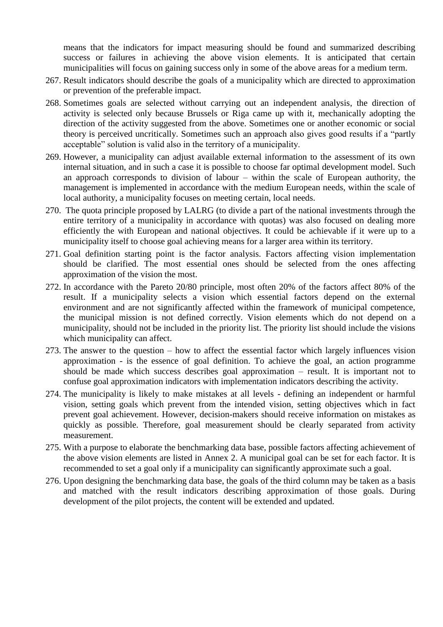means that the indicators for impact measuring should be found and summarized describing success or failures in achieving the above vision elements. It is anticipated that certain municipalities will focus on gaining success only in some of the above areas for a medium term.

- 267. Result indicators should describe the goals of a municipality which are directed to approximation or prevention of the preferable impact.
- 268. Sometimes goals are selected without carrying out an independent analysis, the direction of activity is selected only because Brussels or Riga came up with it, mechanically adopting the direction of the activity suggested from the above. Sometimes one or another economic or social theory is perceived uncritically. Sometimes such an approach also gives good results if a "partly acceptable" solution is valid also in the territory of a municipality.
- 269. However, a municipality can adjust available external information to the assessment of its own internal situation, and in such a case it is possible to choose far optimal development model. Such an approach corresponds to division of labour – within the scale of European authority, the management is implemented in accordance with the medium European needs, within the scale of local authority, a municipality focuses on meeting certain, local needs.
- 270. The quota principle proposed by LALRG (to divide a part of the national investments through the entire territory of a municipality in accordance with quotas) was also focused on dealing more efficiently the with European and national objectives. It could be achievable if it were up to a municipality itself to choose goal achieving means for a larger area within its territory.
- 271. Goal definition starting point is the factor analysis. Factors affecting vision implementation should be clarified. The most essential ones should be selected from the ones affecting approximation of the vision the most.
- 272. In accordance with the Pareto 20/80 principle, most often 20% of the factors affect 80% of the result. If a municipality selects a vision which essential factors depend on the external environment and are not significantly affected within the framework of municipal competence, the municipal mission is not defined correctly. Vision elements which do not depend on a municipality, should not be included in the priority list. The priority list should include the visions which municipality can affect.
- 273. The answer to the question how to affect the essential factor which largely influences vision approximation - is the essence of goal definition. To achieve the goal, an action programme should be made which success describes goal approximation – result. It is important not to confuse goal approximation indicators with implementation indicators describing the activity.
- 274. The municipality is likely to make mistakes at all levels defining an independent or harmful vision, setting goals which prevent from the intended vision, setting objectives which in fact prevent goal achievement. However, decision-makers should receive information on mistakes as quickly as possible. Therefore, goal measurement should be clearly separated from activity measurement.
- 275. With a purpose to elaborate the benchmarking data base, possible factors affecting achievement of the above vision elements are listed in Annex 2. A municipal goal can be set for each factor. It is recommended to set a goal only if a municipality can significantly approximate such a goal.
- 276. Upon designing the benchmarking data base, the goals of the third column may be taken as a basis and matched with the result indicators describing approximation of those goals. During development of the pilot projects, the content will be extended and updated.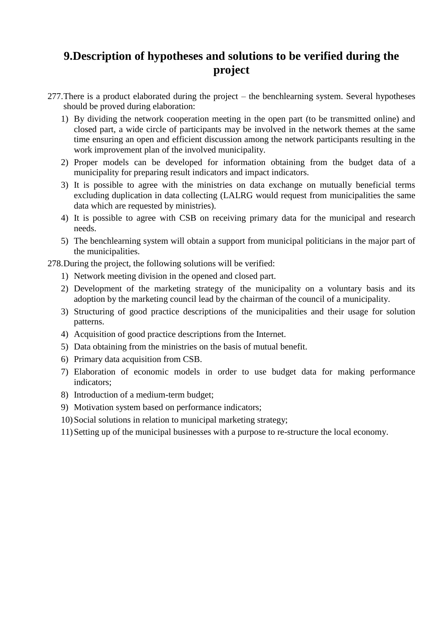# <span id="page-44-0"></span>**9.Description of hypotheses and solutions to be verified during the project**

- 277.There is a product elaborated during the project the benchlearning system. Several hypotheses should be proved during elaboration:
	- 1) By dividing the network cooperation meeting in the open part (to be transmitted online) and closed part, a wide circle of participants may be involved in the network themes at the same time ensuring an open and efficient discussion among the network participants resulting in the work improvement plan of the involved municipality.
	- 2) Proper models can be developed for information obtaining from the budget data of a municipality for preparing result indicators and impact indicators.
	- 3) It is possible to agree with the ministries on data exchange on mutually beneficial terms excluding duplication in data collecting (LALRG would request from municipalities the same data which are requested by ministries).
	- 4) It is possible to agree with CSB on receiving primary data for the municipal and research needs.
	- 5) The benchlearning system will obtain a support from municipal politicians in the major part of the municipalities.

278.During the project, the following solutions will be verified:

- 1) Network meeting division in the opened and closed part.
- 2) Development of the marketing strategy of the municipality on a voluntary basis and its adoption by the marketing council lead by the chairman of the council of a municipality.
- 3) Structuring of good practice descriptions of the municipalities and their usage for solution patterns.
- 4) Acquisition of good practice descriptions from the Internet.
- 5) Data obtaining from the ministries on the basis of mutual benefit.
- 6) Primary data acquisition from CSB.
- 7) Elaboration of economic models in order to use budget data for making performance indicators;
- 8) Introduction of a medium-term budget;
- 9) Motivation system based on performance indicators;
- 10)Social solutions in relation to municipal marketing strategy;
- 11)Setting up of the municipal businesses with a purpose to re-structure the local economy.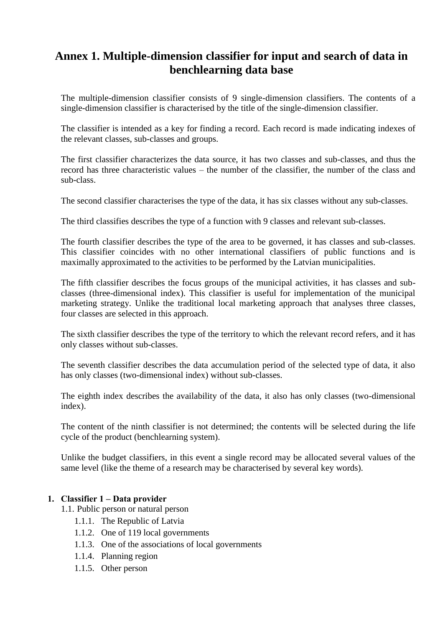# <span id="page-45-0"></span>**Annex 1. Multiple-dimension classifier for input and search of data in benchlearning data base**

The multiple-dimension classifier consists of 9 single-dimension classifiers. The contents of a single-dimension classifier is characterised by the title of the single-dimension classifier.

The classifier is intended as a key for finding a record. Each record is made indicating indexes of the relevant classes, sub-classes and groups.

The first classifier characterizes the data source, it has two classes and sub-classes, and thus the record has three characteristic values – the number of the classifier, the number of the class and sub-class.

The second classifier characterises the type of the data, it has six classes without any sub-classes.

The third classifies describes the type of a function with 9 classes and relevant sub-classes.

The fourth classifier describes the type of the area to be governed, it has classes and sub-classes. This classifier coincides with no other international classifiers of public functions and is maximally approximated to the activities to be performed by the Latvian municipalities.

The fifth classifier describes the focus groups of the municipal activities, it has classes and subclasses (three-dimensional index). This classifier is useful for implementation of the municipal marketing strategy. Unlike the traditional local marketing approach that analyses three classes, four classes are selected in this approach.

The sixth classifier describes the type of the territory to which the relevant record refers, and it has only classes without sub-classes.

The seventh classifier describes the data accumulation period of the selected type of data, it also has only classes (two-dimensional index) without sub-classes.

The eighth index describes the availability of the data, it also has only classes (two-dimensional index).

The content of the ninth classifier is not determined; the contents will be selected during the life cycle of the product (benchlearning system).

Unlike the budget classifiers, in this event a single record may be allocated several values of the same level (like the theme of a research may be characterised by several key words).

#### **1. Classifier 1 – Data provider**

- 1.1. Public person or natural person
	- 1.1.1. The Republic of Latvia
	- 1.1.2. One of 119 local governments
	- 1.1.3. One of the associations of local governments
	- 1.1.4. Planning region
	- 1.1.5. Other person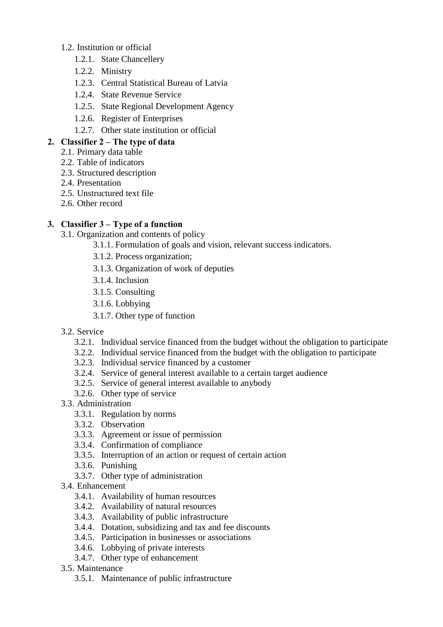#### 1.2. Institution or official

- 1.2.1. State Chancellery
- 1.2.2. Ministry
- 1.2.3. Central Statistical Bureau of Latvia
- 1.2.4. State Revenue Service
- 1.2.5. State Regional Development Agency
- 1.2.6. Register of Enterprises
- 1.2.7. Other state institution or official

#### **2. Classifier 2 – The type of data**

- 2.1. Primary data table
- 2.2. Table of indicators
- 2.3. Structured description
- 2.4. Presentation
- 2.5. Unstructured text file
- 2.6. Other record

#### **3. Classifier 3 – Type of a function**

- 3.1. Organization and contents of policy
	- 3.1.1. Formulation of goals and vision, relevant success indicators.
		- 3.1.2. Process organization;
		- 3.1.3. Organization of work of deputies
		- 3.1.4. Inclusion
		- 3.1.5. Consulting
		- 3.1.6. Lobbying
		- 3.1.7. Other type of function
- 3.2. Service
	- 3.2.1. Individual service financed from the budget without the obligation to participate
	- 3.2.2. Individual service financed from the budget with the obligation to participate
	- 3.2.3. Individual service financed by a customer
	- 3.2.4. Service of general interest available to a certain target audience
	- 3.2.5. Service of general interest available to anybody
	- 3.2.6. Other type of service
- 3.3. Administration
	- 3.3.1. Regulation by norms
	- 3.3.2. Observation
	- 3.3.3. Agreement or issue of permission
	- 3.3.4. Confirmation of compliance
	- 3.3.5. Interruption of an action or request of certain action
	- 3.3.6. Punishing
	- 3.3.7. Other type of administration
- 3.4. Enhancement
	- 3.4.1. Availability of human resources
	- 3.4.2. Availability of natural resources
	- 3.4.3. Availability of public infrastructure
	- 3.4.4. Dotation, subsidizing and tax and fee discounts
	- 3.4.5. Participation in businesses or associations
	- 3.4.6. Lobbying of private interests
	- 3.4.7. Other type of enhancement
- 3.5. Maintenance
	- 3.5.1. Maintenance of public infrastructure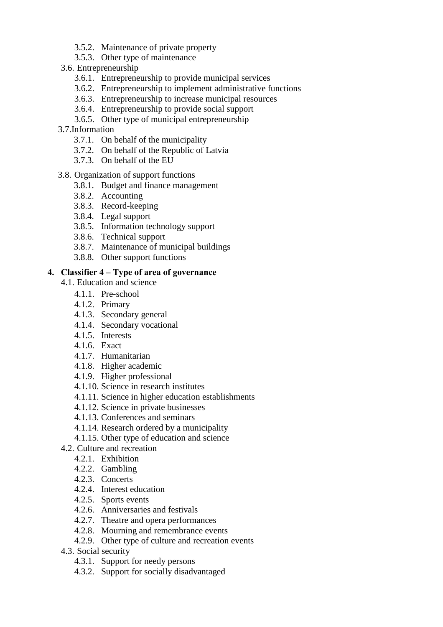- 3.5.2. Maintenance of private property
- 3.5.3. Other type of maintenance
- 3.6. Entrepreneurship
	- 3.6.1. Entrepreneurship to provide municipal services
	- 3.6.2. Entrepreneurship to implement administrative functions
	- 3.6.3. Entrepreneurship to increase municipal resources
	- 3.6.4. Entrepreneurship to provide social support
	- 3.6.5. Other type of municipal entrepreneurship
- 3.7.Information
	- 3.7.1. On behalf of the municipality
	- 3.7.2. On behalf of the Republic of Latvia
	- 3.7.3. On behalf of the EU
- 3.8. Organization of support functions
	- 3.8.1. Budget and finance management
	- 3.8.2. Accounting
	- 3.8.3. Record-keeping
	- 3.8.4. Legal support
	- 3.8.5. Information technology support
	- 3.8.6. Technical support
	- 3.8.7. Maintenance of municipal buildings
	- 3.8.8. Other support functions

#### **4. Classifier 4 – Type of area of governance**

- 4.1. Education and science
	- 4.1.1. Pre-school
	- 4.1.2. Primary
	- 4.1.3. Secondary general
	- 4.1.4. Secondary vocational
	- 4.1.5. Interests
	- 4.1.6. Exact
	- 4.1.7. Humanitarian
	- 4.1.8. Higher academic
	- 4.1.9. Higher professional
	- 4.1.10. Science in research institutes
	- 4.1.11. Science in higher education establishments
	- 4.1.12. Science in private businesses
	- 4.1.13. Conferences and seminars
	- 4.1.14. Research ordered by a municipality
	- 4.1.15. Other type of education and science
- 4.2. Culture and recreation
	- 4.2.1. Exhibition
	- 4.2.2. Gambling
	- 4.2.3. Concerts
	- 4.2.4. Interest education
	- 4.2.5. Sports events
	- 4.2.6. Anniversaries and festivals
	- 4.2.7. Theatre and opera performances
	- 4.2.8. Mourning and remembrance events
	- 4.2.9. Other type of culture and recreation events
- 4.3. Social security
	- 4.3.1. Support for needy persons
	- 4.3.2. Support for socially disadvantaged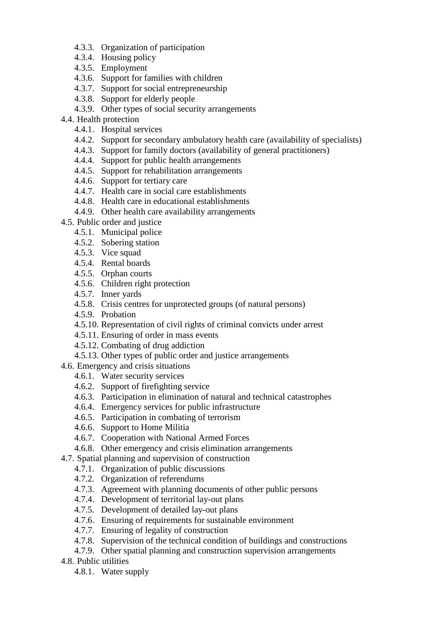- 4.3.3. Organization of participation
- 4.3.4. Housing policy
- 4.3.5. Employment
- 4.3.6. Support for families with children
- 4.3.7. Support for social entrepreneurship
- 4.3.8. Support for elderly people
- 4.3.9. Other types of social security arrangements
- 4.4. Health protection
	- 4.4.1. Hospital services
	- 4.4.2. Support for secondary ambulatory health care (availability of specialists)
	- 4.4.3. Support for family doctors (availability of general practitioners)
	- 4.4.4. Support for public health arrangements
	- 4.4.5. Support for rehabilitation arrangements
	- 4.4.6. Support for tertiary care
	- 4.4.7. Health care in social care establishments
	- 4.4.8. Health care in educational establishments
	- 4.4.9. Other health care availability arrangements
- 4.5. Public order and justice
	- 4.5.1. Municipal police
	- 4.5.2. Sobering station
	- 4.5.3. Vice squad
	- 4.5.4. Rental boards
	- 4.5.5. Orphan courts
	- 4.5.6. Children right protection
	- 4.5.7. Inner yards
	- 4.5.8. Crisis centres for unprotected groups (of natural persons)
	- 4.5.9. Probation
	- 4.5.10. Representation of civil rights of criminal convicts under arrest
	- 4.5.11. Ensuring of order in mass events
	- 4.5.12. Combating of drug addiction
	- 4.5.13. Other types of public order and justice arrangements
- 4.6. Emergency and crisis situations
	- 4.6.1. Water security services
	- 4.6.2. Support of firefighting service
	- 4.6.3. Participation in elimination of natural and technical catastrophes
	- 4.6.4. Emergency services for public infrastructure
	- 4.6.5. Participation in combating of terrorism
	- 4.6.6. Support to Home Militia
	- 4.6.7. Cooperation with National Armed Forces
	- 4.6.8. Other emergency and crisis elimination arrangements
- 4.7. Spatial planning and supervision of construction
	- 4.7.1. Organization of public discussions
	- 4.7.2. Organization of referendums
	- 4.7.3. Agreement with planning documents of other public persons
	- 4.7.4. Development of territorial lay-out plans
	- 4.7.5. Development of detailed lay-out plans
	- 4.7.6. Ensuring of requirements for sustainable environment
	- 4.7.7. Ensuring of legality of construction
	- 4.7.8. Supervision of the technical condition of buildings and constructions
	- 4.7.9. Other spatial planning and construction supervision arrangements
- 4.8. Public utilities
	- 4.8.1. Water supply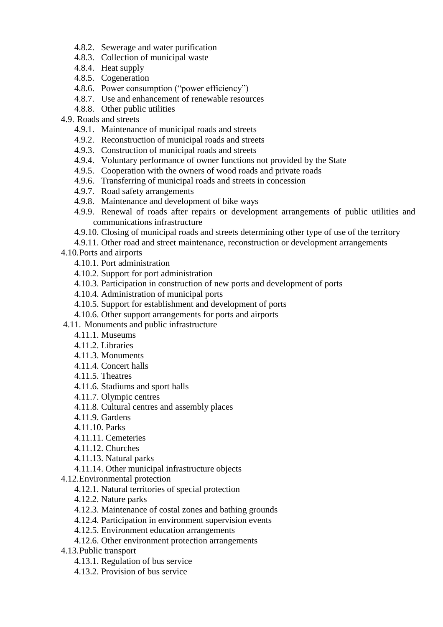- 4.8.2. Sewerage and water purification
- 4.8.3. Collection of municipal waste
- 4.8.4. Heat supply
- 4.8.5. Cogeneration
- 4.8.6. Power consumption ("power efficiency")
- 4.8.7. Use and enhancement of renewable resources
- 4.8.8. Other public utilities
- 4.9. Roads and streets
	- 4.9.1. Maintenance of municipal roads and streets
	- 4.9.2. Reconstruction of municipal roads and streets
	- 4.9.3. Construction of municipal roads and streets
	- 4.9.4. Voluntary performance of owner functions not provided by the State
	- 4.9.5. Cooperation with the owners of wood roads and private roads
	- 4.9.6. Transferring of municipal roads and streets in concession
	- 4.9.7. Road safety arrangements
	- 4.9.8. Maintenance and development of bike ways
	- 4.9.9. Renewal of roads after repairs or development arrangements of public utilities and communications infrastructure
	- 4.9.10. Closing of municipal roads and streets determining other type of use of the territory
	- 4.9.11. Other road and street maintenance, reconstruction or development arrangements

4.10.Ports and airports

- 4.10.1. Port administration
- 4.10.2. Support for port administration
- 4.10.3. Participation in construction of new ports and development of ports
- 4.10.4. Administration of municipal ports
- 4.10.5. Support for establishment and development of ports
- 4.10.6. Other support arrangements for ports and airports
- 4.11. Monuments and public infrastructure
	- 4.11.1. Museums
	- 4.11.2. Libraries
	- 4.11.3. Monuments
	- 4.11.4. Concert halls
	- 4.11.5. Theatres
	- 4.11.6. Stadiums and sport halls
	- 4.11.7. Olympic centres
	- 4.11.8. Cultural centres and assembly places
	- 4.11.9. Gardens
	- 4.11.10. Parks
	- 4.11.11. Cemeteries
	- 4.11.12. Churches
	- 4.11.13. Natural parks
	- 4.11.14. Other municipal infrastructure objects
- 4.12.Environmental protection
	- 4.12.1. Natural territories of special protection
	- 4.12.2. Nature parks
	- 4.12.3. Maintenance of costal zones and bathing grounds
	- 4.12.4. Participation in environment supervision events
	- 4.12.5. Environment education arrangements
	- 4.12.6. Other environment protection arrangements
- 4.13.Public transport
	- 4.13.1. Regulation of bus service
	- 4.13.2. Provision of bus service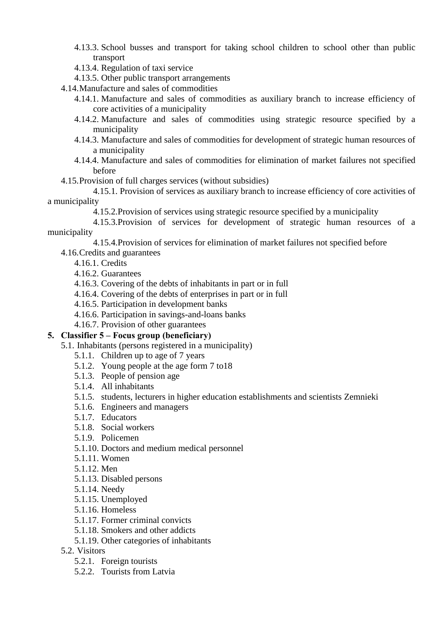- 4.13.3. School busses and transport for taking school children to school other than public transport
- 4.13.4. Regulation of taxi service
- 4.13.5. Other public transport arrangements
- 4.14.Manufacture and sales of commodities
	- 4.14.1. Manufacture and sales of commodities as auxiliary branch to increase efficiency of core activities of a municipality
	- 4.14.2. Manufacture and sales of commodities using strategic resource specified by a municipality
	- 4.14.3. Manufacture and sales of commodities for development of strategic human resources of a municipality
	- 4.14.4. Manufacture and sales of commodities for elimination of market failures not specified before
- 4.15.Provision of full charges services (without subsidies)

4.15.1. Provision of services as auxiliary branch to increase efficiency of core activities of a municipality

4.15.2.Provision of services using strategic resource specified by a municipality

4.15.3.Provision of services for development of strategic human resources of a municipality

4.15.4.Provision of services for elimination of market failures not specified before

- 4.16.Credits and guarantees
	- 4.16.1. Credits
	- 4.16.2. Guarantees
	- 4.16.3. Covering of the debts of inhabitants in part or in full
	- 4.16.4. Covering of the debts of enterprises in part or in full
	- 4.16.5. Participation in development banks
	- 4.16.6. Participation in savings-and-loans banks
	- 4.16.7. Provision of other guarantees

#### **5. Classifier 5 – Focus group (beneficiary)**

- 5.1. Inhabitants (persons registered in a municipality)
	- 5.1.1. Children up to age of 7 years
	- 5.1.2. Young people at the age form 7 to18
	- 5.1.3. People of pension age
	- 5.1.4. All inhabitants
	- 5.1.5. students, lecturers in higher education establishments and scientists Zemnieki
	- 5.1.6. Engineers and managers
	- 5.1.7. Educators
	- 5.1.8. Social workers
	- 5.1.9. Policemen
	- 5.1.10. Doctors and medium medical personnel
	- 5.1.11. Women
	- 5.1.12. Men
	- 5.1.13. Disabled persons
	- 5.1.14. Needy
	- 5.1.15. Unemployed
	- 5.1.16. Homeless
	- 5.1.17. Former criminal convicts
	- 5.1.18. Smokers and other addicts
	- 5.1.19. Other categories of inhabitants
- 5.2. Visitors
	- 5.2.1. Foreign tourists
	- 5.2.2. Tourists from Latvia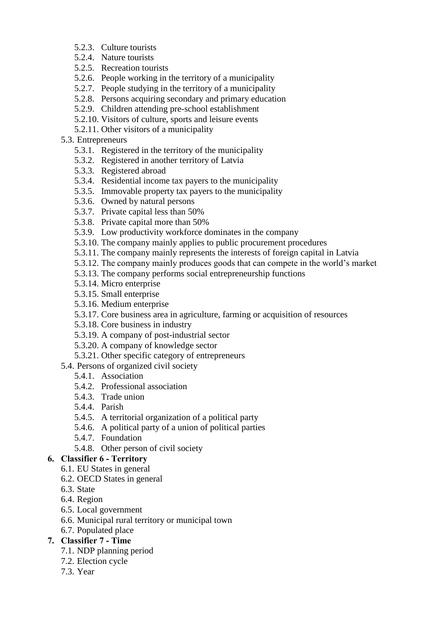- 5.2.3. Culture tourists
- 5.2.4. Nature tourists
- 5.2.5. Recreation tourists
- 5.2.6. People working in the territory of a municipality
- 5.2.7. People studying in the territory of a municipality
- 5.2.8. Persons acquiring secondary and primary education
- 5.2.9. Children attending pre-school establishment
- 5.2.10. Visitors of culture, sports and leisure events
- 5.2.11. Other visitors of a municipality
- 5.3. Entrepreneurs
	- 5.3.1. Registered in the territory of the municipality
	- 5.3.2. Registered in another territory of Latvia
	- 5.3.3. Registered abroad
	- 5.3.4. Residential income tax payers to the municipality
	- 5.3.5. Immovable property tax payers to the municipality
	- 5.3.6. Owned by natural persons
	- 5.3.7. Private capital less than 50%
	- 5.3.8. Private capital more than 50%
	- 5.3.9. Low productivity workforce dominates in the company
	- 5.3.10. The company mainly applies to public procurement procedures
	- 5.3.11. The company mainly represents the interests of foreign capital in Latvia
	- 5.3.12. The company mainly produces goods that can compete in the world's market
	- 5.3.13. The company performs social entrepreneurship functions
	- 5.3.14. Micro enterprise
	- 5.3.15. Small enterprise
	- 5.3.16. Medium enterprise
	- 5.3.17. Core business area in agriculture, farming or acquisition of resources
	- 5.3.18. Core business in industry
	- 5.3.19. A company of post-industrial sector
	- 5.3.20. A company of knowledge sector
	- 5.3.21. Other specific category of entrepreneurs
- 5.4. Persons of organized civil society
	- 5.4.1. Association
	- 5.4.2. Professional association
	- 5.4.3. Trade union
	- 5.4.4. Parish
	- 5.4.5. A territorial organization of a political party
	- 5.4.6. A political party of a union of political parties
	- 5.4.7. Foundation
	- 5.4.8. Other person of civil society

#### **6. Classifier 6 - Territory**

- 6.1. EU States in general
- 6.2. OECD States in general
- 6.3. State
- 6.4. Region
- 6.5. Local government
- 6.6. Municipal rural territory or municipal town
- 6.7. Populated place

#### **7. Classifier 7 - Time**

- 7.1. NDP planning period
- 7.2. Election cycle
- 7.3. Year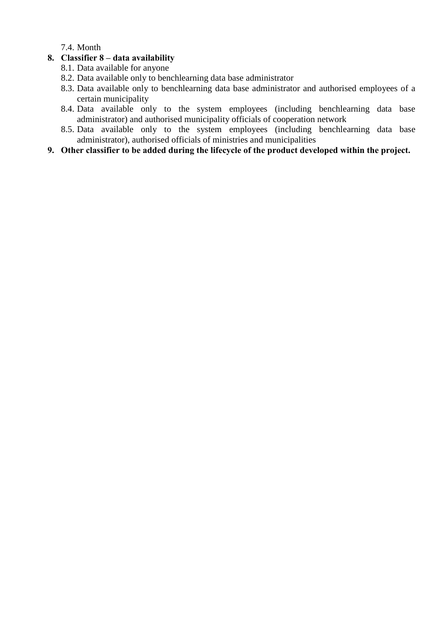7.4. Month

#### **8. Classifier 8 – data availability**

- 8.1. Data available for anyone
- 8.2. Data available only to benchlearning data base administrator
- 8.3. Data available only to benchlearning data base administrator and authorised employees of a certain municipality
- 8.4. Data available only to the system employees (including benchlearning data base administrator) and authorised municipality officials of cooperation network
- 8.5. Data available only to the system employees (including benchlearning data base administrator), authorised officials of ministries and municipalities

#### **9. Other classifier to be added during the lifecycle of the product developed within the project.**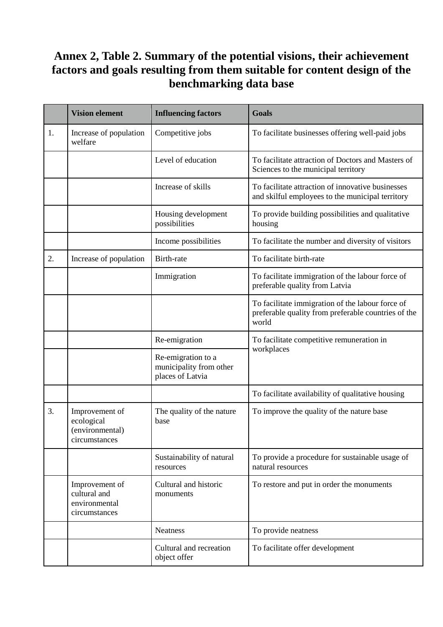# <span id="page-53-0"></span>**Annex 2, Table 2. Summary of the potential visions, their achievement factors and goals resulting from them suitable for content design of the benchmarking data base**

|    | <b>Vision element</b>                                            | <b>Influencing factors</b>                                        | <b>Goals</b>                                                                                                     |
|----|------------------------------------------------------------------|-------------------------------------------------------------------|------------------------------------------------------------------------------------------------------------------|
| 1. | Increase of population<br>welfare                                | Competitive jobs                                                  | To facilitate businesses offering well-paid jobs                                                                 |
|    |                                                                  | Level of education                                                | To facilitate attraction of Doctors and Masters of<br>Sciences to the municipal territory                        |
|    |                                                                  | Increase of skills                                                | To facilitate attraction of innovative businesses<br>and skilful employees to the municipal territory            |
|    |                                                                  | Housing development<br>possibilities                              | To provide building possibilities and qualitative<br>housing                                                     |
|    |                                                                  | Income possibilities                                              | To facilitate the number and diversity of visitors                                                               |
| 2. | Increase of population                                           | Birth-rate                                                        | To facilitate birth-rate                                                                                         |
|    |                                                                  | Immigration                                                       | To facilitate immigration of the labour force of<br>preferable quality from Latvia                               |
|    |                                                                  |                                                                   | To facilitate immigration of the labour force of<br>preferable quality from preferable countries of the<br>world |
|    |                                                                  | Re-emigration                                                     | To facilitate competitive remuneration in                                                                        |
|    |                                                                  | Re-emigration to a<br>municipality from other<br>places of Latvia | workplaces                                                                                                       |
|    |                                                                  |                                                                   | To facilitate availability of qualitative housing                                                                |
| 3. | Improvement of<br>ecological<br>(environmental)<br>circumstances | The quality of the nature<br>base                                 | To improve the quality of the nature base                                                                        |
|    |                                                                  | Sustainability of natural<br>resources                            | To provide a procedure for sustainable usage of<br>natural resources                                             |
|    | Improvement of<br>cultural and<br>environmental<br>circumstances | Cultural and historic<br>monuments                                | To restore and put in order the monuments                                                                        |
|    |                                                                  | <b>Neatness</b>                                                   | To provide neatness                                                                                              |
|    |                                                                  | Cultural and recreation<br>object offer                           | To facilitate offer development                                                                                  |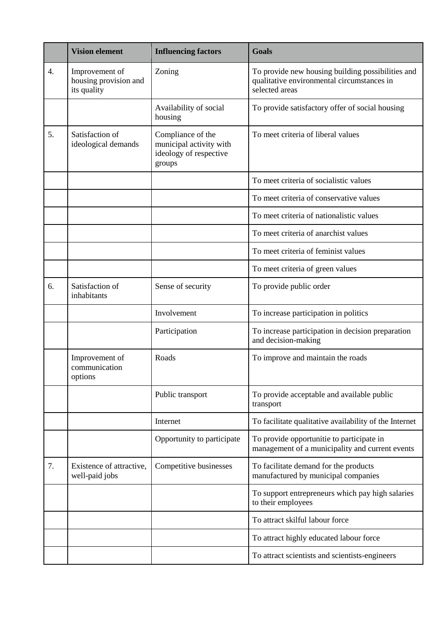|    | <b>Vision element</b>                                  | <b>Influencing factors</b>                                                       | <b>Goals</b>                                                                                                      |
|----|--------------------------------------------------------|----------------------------------------------------------------------------------|-------------------------------------------------------------------------------------------------------------------|
| 4. | Improvement of<br>housing provision and<br>its quality | Zoning                                                                           | To provide new housing building possibilities and<br>qualitative environmental circumstances in<br>selected areas |
|    |                                                        | Availability of social<br>housing                                                | To provide satisfactory offer of social housing                                                                   |
| 5. | Satisfaction of<br>ideological demands                 | Compliance of the<br>municipal activity with<br>ideology of respective<br>groups | To meet criteria of liberal values                                                                                |
|    |                                                        |                                                                                  | To meet criteria of socialistic values                                                                            |
|    |                                                        |                                                                                  | To meet criteria of conservative values                                                                           |
|    |                                                        |                                                                                  | To meet criteria of nationalistic values                                                                          |
|    |                                                        |                                                                                  | To meet criteria of anarchist values                                                                              |
|    |                                                        |                                                                                  | To meet criteria of feminist values                                                                               |
|    |                                                        |                                                                                  | To meet criteria of green values                                                                                  |
| 6. | Satisfaction of<br>inhabitants                         | Sense of security                                                                | To provide public order                                                                                           |
|    |                                                        | Involvement                                                                      | To increase participation in politics                                                                             |
|    |                                                        | Participation                                                                    | To increase participation in decision preparation<br>and decision-making                                          |
|    | Improvement of<br>communication<br>options             | Roads                                                                            | To improve and maintain the roads                                                                                 |
|    |                                                        | Public transport                                                                 | To provide acceptable and available public<br>transport                                                           |
|    |                                                        | Internet                                                                         | To facilitate qualitative availability of the Internet                                                            |
|    |                                                        | Opportunity to participate                                                       | To provide opportunitie to participate in<br>management of a municipality and current events                      |
| 7. | Existence of attractive,<br>well-paid jobs             | Competitive businesses                                                           | To facilitate demand for the products<br>manufactured by municipal companies                                      |
|    |                                                        |                                                                                  | To support entrepreneurs which pay high salaries<br>to their employees                                            |
|    |                                                        |                                                                                  | To attract skilful labour force                                                                                   |
|    |                                                        |                                                                                  | To attract highly educated labour force                                                                           |
|    |                                                        |                                                                                  | To attract scientists and scientists-engineers                                                                    |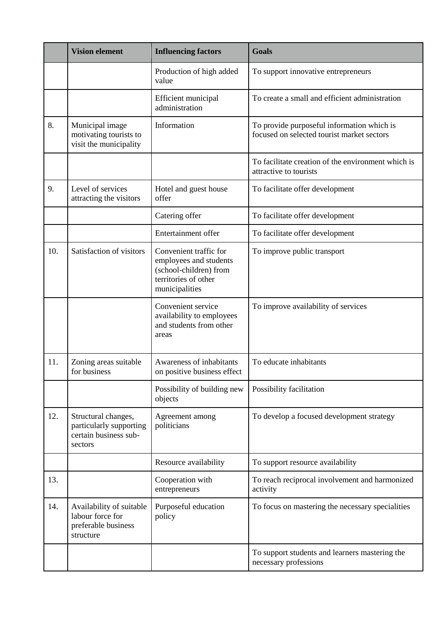|     | <b>Vision element</b>                                                              | <b>Influencing factors</b>                                                                                           | <b>Goals</b>                                                                             |
|-----|------------------------------------------------------------------------------------|----------------------------------------------------------------------------------------------------------------------|------------------------------------------------------------------------------------------|
|     |                                                                                    | Production of high added<br>value                                                                                    | To support innovative entrepreneurs                                                      |
|     |                                                                                    | <b>Efficient</b> municipal<br>administration                                                                         | To create a small and efficient administration                                           |
| 8.  | Municipal image<br>motivating tourists to<br>visit the municipality                | Information                                                                                                          | To provide purposeful information which is<br>focused on selected tourist market sectors |
|     |                                                                                    |                                                                                                                      | To facilitate creation of the environment which is<br>attractive to tourists             |
| 9.  | Level of services<br>attracting the visitors                                       | Hotel and guest house<br>offer                                                                                       | To facilitate offer development                                                          |
|     |                                                                                    | Catering offer                                                                                                       | To facilitate offer development                                                          |
|     |                                                                                    | Entertainment offer                                                                                                  | To facilitate offer development                                                          |
| 10. | Satisfaction of visitors                                                           | Convenient traffic for<br>employees and students<br>(school-children) from<br>territories of other<br>municipalities | To improve public transport                                                              |
|     |                                                                                    | Convenient service<br>availability to employees<br>and students from other<br>areas                                  | To improve availability of services                                                      |
| 11. | Zoning areas suitable<br>for business                                              | Awareness of inhabitants<br>on positive business effect                                                              | To educate inhabitants                                                                   |
|     |                                                                                    | Possibility of building new<br>objects                                                                               | Possibility facilitation                                                                 |
| 12. | Structural changes,<br>particularly supporting<br>certain business sub-<br>sectors | Agreement among<br>politicians                                                                                       | To develop a focused development strategy                                                |
|     |                                                                                    | Resource availability                                                                                                | To support resource availability                                                         |
| 13. |                                                                                    | Cooperation with<br>entrepreneurs                                                                                    | To reach reciprocal involvement and harmonized<br>activity                               |
| 14. | Availability of suitable<br>labour force for<br>preferable business<br>structure   | Purposeful education<br>policy                                                                                       | To focus on mastering the necessary specialities                                         |
|     |                                                                                    |                                                                                                                      | To support students and learners mastering the<br>necessary professions                  |